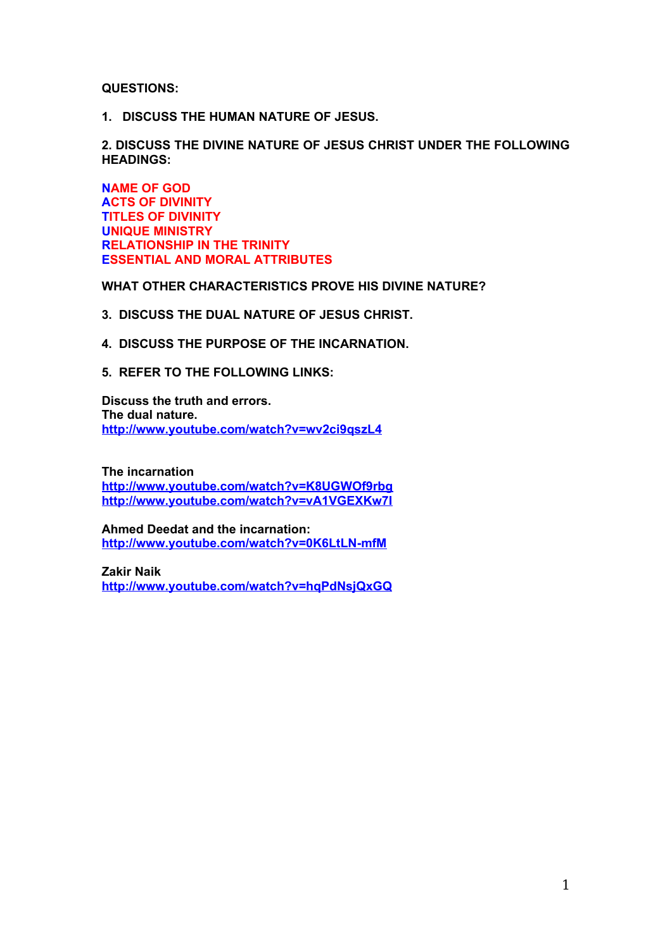**QUESTIONS:**

**1. DISCUSS THE HUMAN NATURE OF JESUS.**

**2. DISCUSS THE DIVINE NATURE OF JESUS CHRIST UNDER THE FOLLOWING HEADINGS:**

**NAME OF GOD ACTS OF DIVINITY TITLES OF DIVINITY UNIQUE MINISTRY RELATIONSHIP IN THE TRINITY ESSENTIAL AND MORAL ATTRIBUTES**

**WHAT OTHER CHARACTERISTICS PROVE HIS DIVINE NATURE?**

- **3. DISCUSS THE DUAL NATURE OF JESUS CHRIST.**
- **4. DISCUSS THE PURPOSE OF THE INCARNATION.**
- **5. REFER TO THE FOLLOWING LINKS:**

**Discuss the truth and errors. The dual nature. <http://www.youtube.com/watch?v=wv2ci9qszL4>**

**The incarnation <http://www.youtube.com/watch?v=K8UGWOf9rbg> <http://www.youtube.com/watch?v=vA1VGEXKw7I>**

**Ahmed Deedat and the incarnation: <http://www.youtube.com/watch?v=0K6LtLN-mfM>**

**Zakir Naik <http://www.youtube.com/watch?v=hqPdNsjQxGQ>**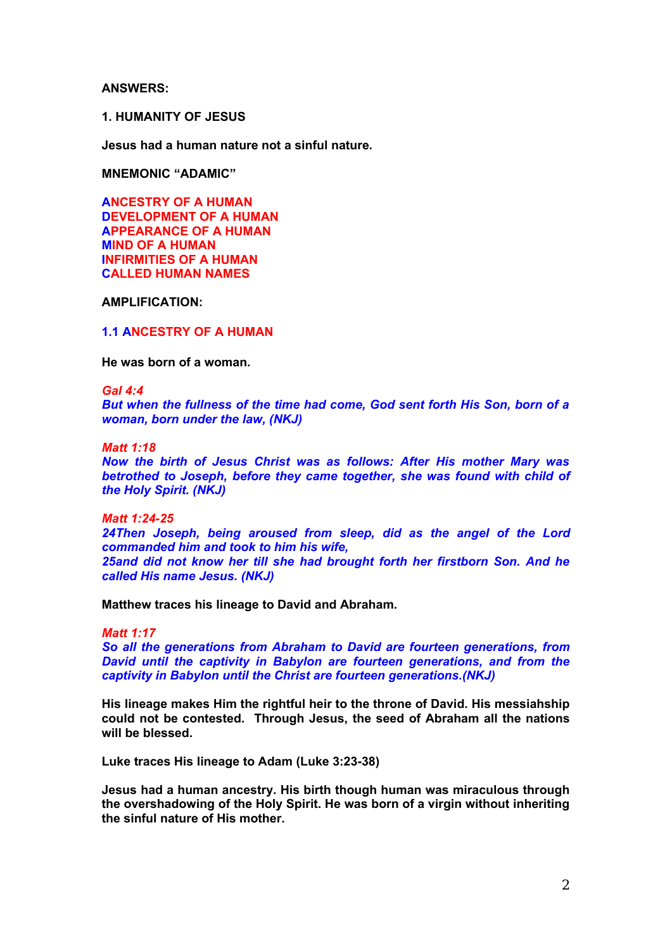#### **ANSWERS:**

**1. HUMANITY OF JESUS**

**Jesus had a human nature not a sinful nature.**

**MNEMONIC "ADAMIC"**

**ANCESTRY OF A HUMAN DEVELOPMENT OF A HUMAN APPEARANCE OF A HUMAN MIND OF A HUMAN INFIRMITIES OF A HUMAN CALLED HUMAN NAMES**

**AMPLIFICATION:**

# **1.1 ANCESTRY OF A HUMAN**

**He was born of a woman.**

### *Gal 4:4*

*But when the fullness of the time had come, God sent forth His Son, born of a woman, born under the law, (NKJ)*

### *Matt 1:18*

*Now the birth of Jesus Christ was as follows: After His mother Mary was betrothed to Joseph, before they came together, she was found with child of the Holy Spirit. (NKJ)*

#### *Matt 1:24-25*

*24Then Joseph, being aroused from sleep, did as the angel of the Lord commanded him and took to him his wife, 25and did not know her till she had brought forth her firstborn Son. And he called His name Jesus. (NKJ)*

**Matthew traces his lineage to David and Abraham.**

#### *Matt 1:17*

*So all the generations from Abraham to David are fourteen generations, from David until the captivity in Babylon are fourteen generations, and from the captivity in Babylon until the Christ are fourteen generations.(NKJ)*

**His lineage makes Him the rightful heir to the throne of David. His messiahship could not be contested. Through Jesus, the seed of Abraham all the nations will be blessed.**

**Luke traces His lineage to Adam (Luke 3:23-38)**

**Jesus had a human ancestry. His birth though human was miraculous through the overshadowing of the Holy Spirit. He was born of a virgin without inheriting the sinful nature of His mother.**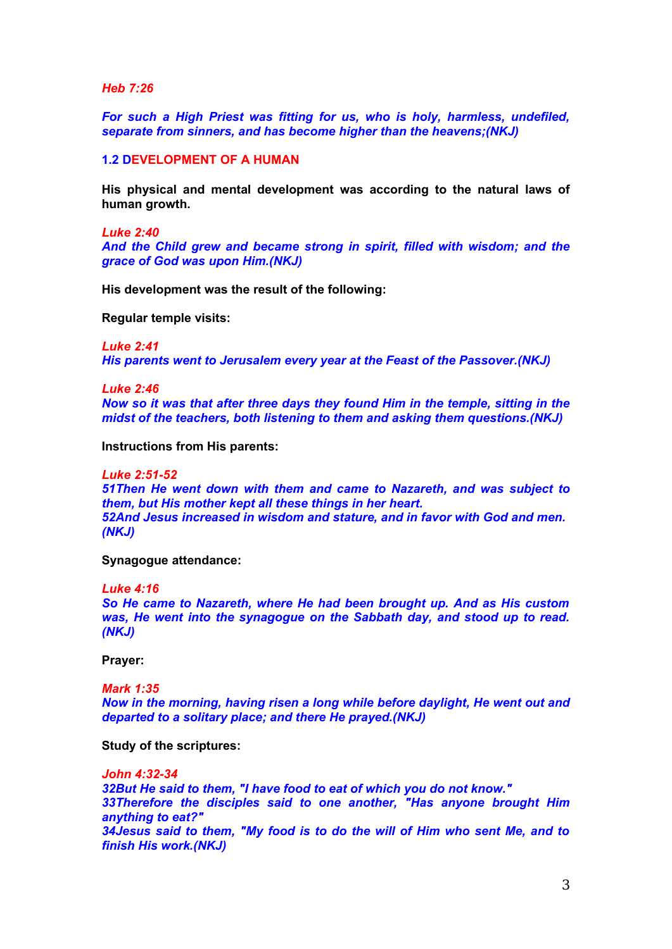*Heb 7:26*

*For such a High Priest was fitting for us, who is holy, harmless, undefiled, separate from sinners, and has become higher than the heavens;(NKJ)*

# **1.2 DEVELOPMENT OF A HUMAN**

**His physical and mental development was according to the natural laws of human growth.**

*Luke 2:40 And the Child grew and became strong in spirit, filled with wisdom; and the grace of God was upon Him.(NKJ)*

**His development was the result of the following:**

**Regular temple visits:**

*Luke 2:41 His parents went to Jerusalem every year at the Feast of the Passover.(NKJ)*

*Luke 2:46*

*Now so it was that after three days they found Him in the temple, sitting in the midst of the teachers, both listening to them and asking them questions.(NKJ)*

**Instructions from His parents:**

*Luke 2:51-52*

*51Then He went down with them and came to Nazareth, and was subject to them, but His mother kept all these things in her heart. 52And Jesus increased in wisdom and stature, and in favor with God and men. (NKJ)*

**Synagogue attendance:**

*Luke 4:16*

*So He came to Nazareth, where He had been brought up. And as His custom was, He went into the synagogue on the Sabbath day, and stood up to read. (NKJ)*

**Prayer:**

*Mark 1:35 Now in the morning, having risen a long while before daylight, He went out and departed to a solitary place; and there He prayed.(NKJ)*

**Study of the scriptures:**

*John 4:32-34 32But He said to them, "I have food to eat of which you do not know." 33Therefore the disciples said to one another, "Has anyone brought Him anything to eat?" 34Jesus said to them, "My food is to do the will of Him who sent Me, and to finish His work.(NKJ)*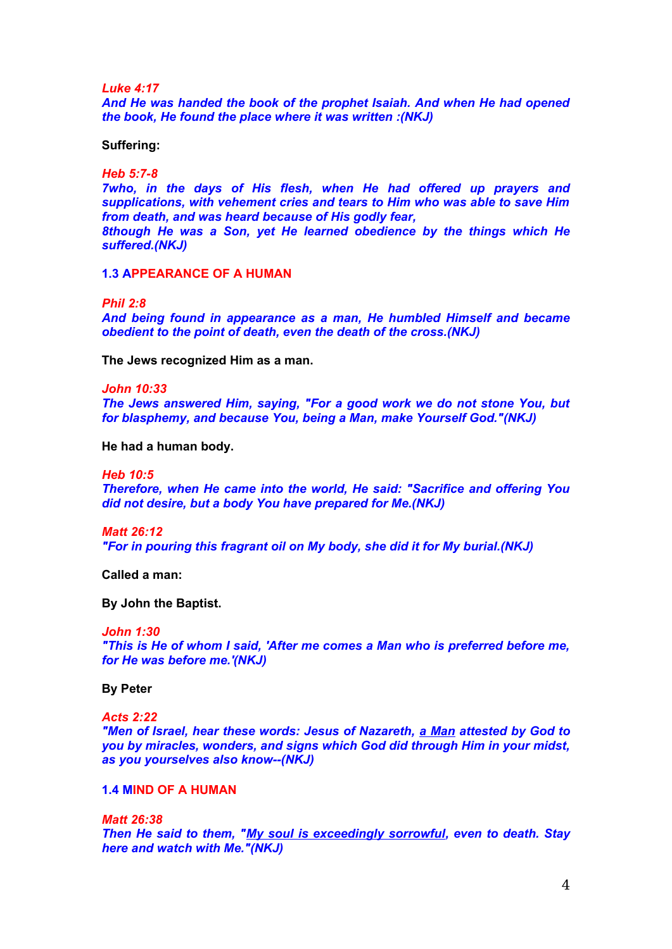*Luke 4:17*

*And He was handed the book of the prophet Isaiah. And when He had opened the book, He found the place where it was written :(NKJ)*

**Suffering:**

*Heb 5:7-8*

*7who, in the days of His flesh, when He had offered up prayers and supplications, with vehement cries and tears to Him who was able to save Him from death, and was heard because of His godly fear, 8though He was a Son, yet He learned obedience by the things which He suffered.(NKJ)*

#### **1.3 APPEARANCE OF A HUMAN**

*Phil 2:8*

*And being found in appearance as a man, He humbled Himself and became obedient to the point of death, even the death of the cross.(NKJ)*

**The Jews recognized Him as a man.**

*John 10:33*

*The Jews answered Him, saying, "For a good work we do not stone You, but for blasphemy, and because You, being a Man, make Yourself God."(NKJ)*

**He had a human body.**

*Heb 10:5*

*Therefore, when He came into the world, He said: "Sacrifice and offering You did not desire, but a body You have prepared for Me.(NKJ)*

*Matt 26:12*

*"For in pouring this fragrant oil on My body, she did it for My burial.(NKJ)*

**Called a man:**

**By John the Baptist.**

*John 1:30*

*"This is He of whom I said, 'After me comes a Man who is preferred before me, for He was before me.'(NKJ)*

**By Peter**

*Acts 2:22 "Men of Israel, hear these words: Jesus of Nazareth, a Man attested by God to you by miracles, wonders, and signs which God did through Him in your midst, as you yourselves also know--(NKJ)*

**1.4 MIND OF A HUMAN**

*Matt 26:38 Then He said to them, "My soul is exceedingly sorrowful, even to death. Stay here and watch with Me."(NKJ)*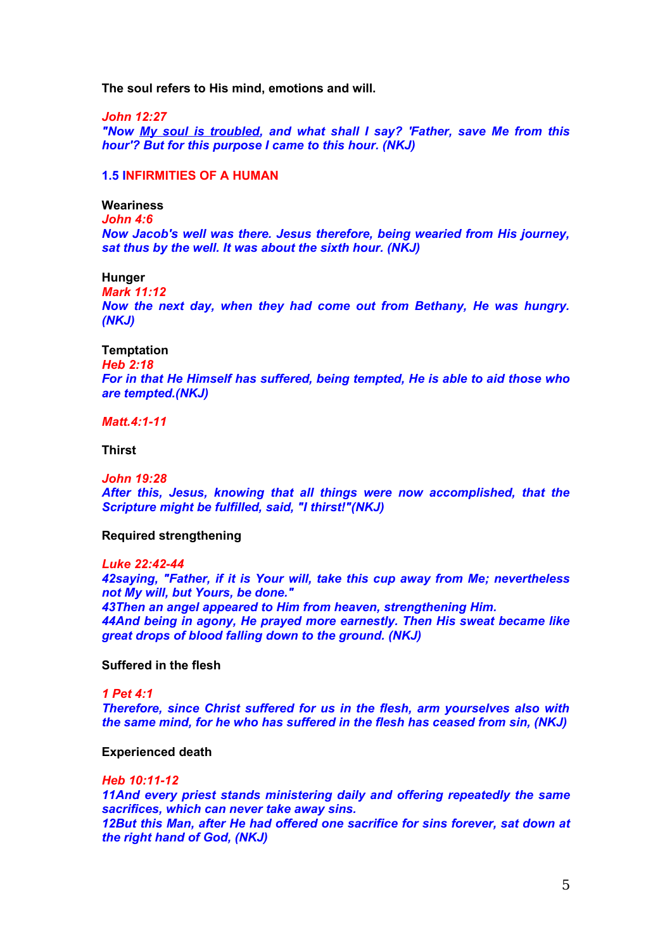**The soul refers to His mind, emotions and will.** 

*John 12:27*

*"Now My soul is troubled, and what shall I say? 'Father, save Me from this hour'? But for this purpose I came to this hour. (NKJ)*

#### **1.5 INFIRMITIES OF A HUMAN**

#### **Weariness**

*John 4:6 Now Jacob's well was there. Jesus therefore, being wearied from His journey, sat thus by the well. It was about the sixth hour. (NKJ)*

### **Hunger**

*Mark 11:12*

*Now the next day, when they had come out from Bethany, He was hungry. (NKJ)*

#### **Temptation**

*Heb 2:18 For in that He Himself has suffered, being tempted, He is able to aid those who are tempted.(NKJ)*

*Matt.4:1-11*

**Thirst**

*John 19:28 After this, Jesus, knowing that all things were now accomplished, that the Scripture might be fulfilled, said, "I thirst!"(NKJ)*

### **Required strengthening**

#### *Luke 22:42-44*

*42saying, "Father, if it is Your will, take this cup away from Me; nevertheless not My will, but Yours, be done." 43Then an angel appeared to Him from heaven, strengthening Him. 44And being in agony, He prayed more earnestly. Then His sweat became like great drops of blood falling down to the ground. (NKJ)*

### **Suffered in the flesh**

*1 Pet 4:1*

*Therefore, since Christ suffered for us in the flesh, arm yourselves also with the same mind, for he who has suffered in the flesh has ceased from sin, (NKJ)*

#### **Experienced death**

#### *Heb 10:11-12*

*11And every priest stands ministering daily and offering repeatedly the same sacrifices, which can never take away sins. 12But this Man, after He had offered one sacrifice for sins forever, sat down at the right hand of God, (NKJ)*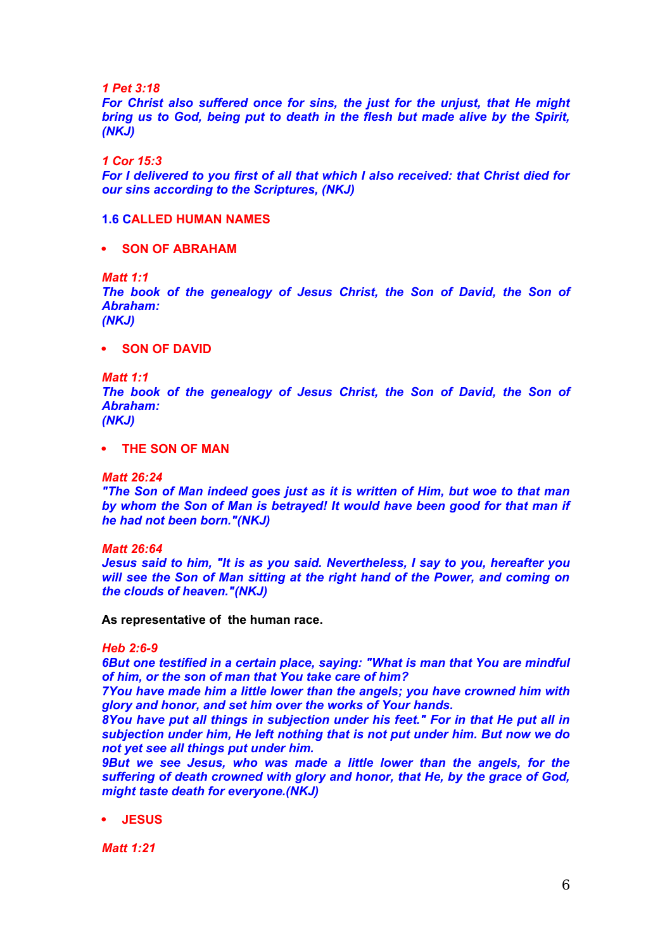*1 Pet 3:18*

*For Christ also suffered once for sins, the just for the unjust, that He might bring us to God, being put to death in the flesh but made alive by the Spirit, (NKJ)*

*1 Cor 15:3*

*For I delivered to you first of all that which I also received: that Christ died for our sins according to the Scriptures, (NKJ)*

## **1.6 CALLED HUMAN NAMES**

**• SON OF ABRAHAM** 

*Matt 1:1*

*The book of the genealogy of Jesus Christ, the Son of David, the Son of Abraham:*

*(NKJ)*

**SON OF DAVID**

*Matt 1:1 The book of the genealogy of Jesus Christ, the Son of David, the Son of Abraham: (NKJ)*

**THE SON OF MAN**

*Matt 26:24*

*"The Son of Man indeed goes just as it is written of Him, but woe to that man by whom the Son of Man is betrayed! It would have been good for that man if he had not been born."(NKJ)*

*Matt 26:64*

*Jesus said to him, "It is as you said. Nevertheless, I say to you, hereafter you will see the Son of Man sitting at the right hand of the Power, and coming on the clouds of heaven."(NKJ)*

**As representative of the human race.**

#### *Heb 2:6-9*

*6But one testified in a certain place, saying: "What is man that You are mindful of him, or the son of man that You take care of him?*

*7You have made him a little lower than the angels; you have crowned him with glory and honor, and set him over the works of Your hands.*

*8You have put all things in subjection under his feet." For in that He put all in subjection under him, He left nothing that is not put under him. But now we do not yet see all things put under him.*

*9But we see Jesus, who was made a little lower than the angels, for the suffering of death crowned with glory and honor, that He, by the grace of God, might taste death for everyone.(NKJ)*

**JESUS**

*Matt 1:21*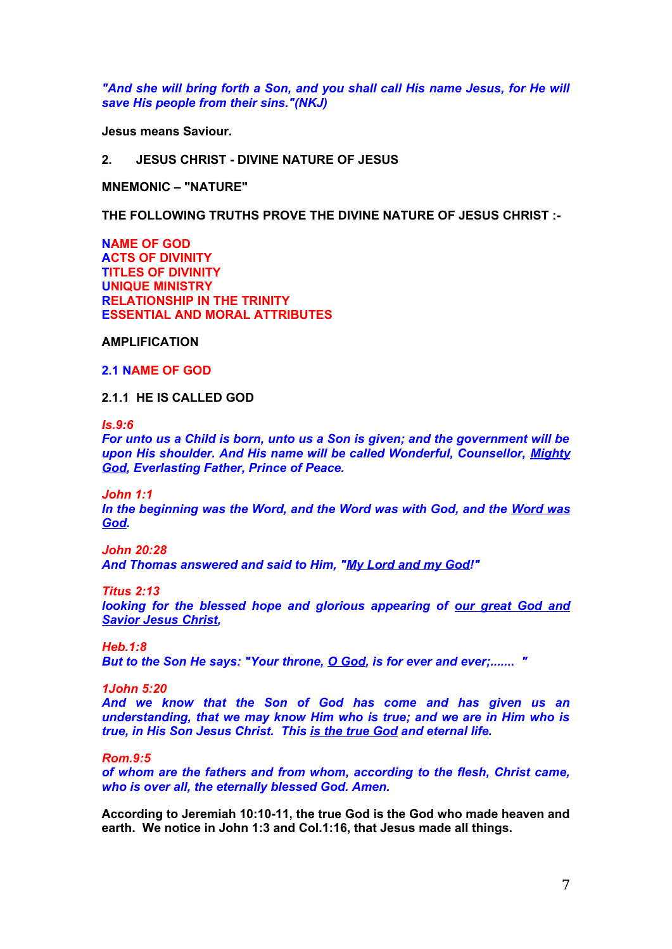*"And she will bring forth a Son, and you shall call His name Jesus, for He will save His people from their sins."(NKJ)*

**Jesus means Saviour.**

### **2. JESUS CHRIST - DIVINE NATURE OF JESUS**

**MNEMONIC – "NATURE"**

**THE FOLLOWING TRUTHS PROVE THE DIVINE NATURE OF JESUS CHRIST :-**

**NAME OF GOD ACTS OF DIVINITY TITLES OF DIVINITY UNIQUE MINISTRY RELATIONSHIP IN THE TRINITY ESSENTIAL AND MORAL ATTRIBUTES**

**AMPLIFICATION**

**2.1 NAME OF GOD** 

**2.1.1 HE IS CALLED GOD**

*Is.9:6*

*For unto us a Child is born, unto us a Son is given; and the government will be upon His shoulder. And His name will be called Wonderful, Counsellor, Mighty God, Everlasting Father, Prince of Peace.*

*John 1:1 In the beginning was the Word, and the Word was with God, and the Word was God.*

*John 20:28 And Thomas answered and said to Him, "My Lord and my God!"*

*Titus 2:13 looking for the blessed hope and glorious appearing of our great God and Savior Jesus Christ,*

*Heb.1:8 But to the Son He says: "Your throne, O God, is for ever and ever;....... "*

*1John 5:20*

*And we know that the Son of God has come and has given us an understanding, that we may know Him who is true; and we are in Him who is true, in His Son Jesus Christ. This is the true God and eternal life.*

*Rom.9:5*

*of whom are the fathers and from whom, according to the flesh, Christ came, who is over all, the eternally blessed God. Amen.*

**According to Jeremiah 10:10-11, the true God is the God who made heaven and earth. We notice in John 1:3 and Col.1:16, that Jesus made all things.**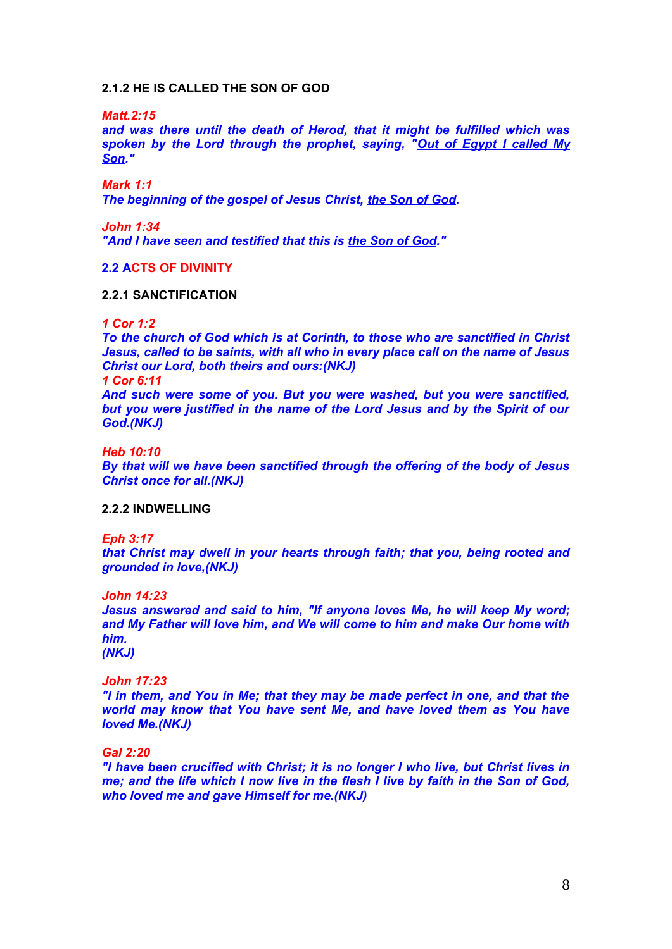### **2.1.2 HE IS CALLED THE SON OF GOD**

#### *Matt.2:15*

*and was there until the death of Herod, that it might be fulfilled which was spoken by the Lord through the prophet, saying, "Out of Egypt I called My Son."*

### *Mark 1:1*

*The beginning of the gospel of Jesus Christ, the Son of God.*

#### *John 1:34*

*"And I have seen and testified that this is the Son of God."*

### **2.2 ACTS OF DIVINITY**

## **2.2.1 SANCTIFICATION**

#### *1 Cor 1:2*

*To the church of God which is at Corinth, to those who are sanctified in Christ Jesus, called to be saints, with all who in every place call on the name of Jesus Christ our Lord, both theirs and ours:(NKJ)*

# *1 Cor 6:11*

*And such were some of you. But you were washed, but you were sanctified, but you were justified in the name of the Lord Jesus and by the Spirit of our God.(NKJ)*

#### *Heb 10:10*

*By that will we have been sanctified through the offering of the body of Jesus Christ once for all.(NKJ)*

# **2.2.2 INDWELLING**

### *Eph 3:17*

*that Christ may dwell in your hearts through faith; that you, being rooted and grounded in love,(NKJ)*

#### *John 14:23*

*Jesus answered and said to him, "If anyone loves Me, he will keep My word; and My Father will love him, and We will come to him and make Our home with him.*

# *(NKJ)*

# *John 17:23*

*"I in them, and You in Me; that they may be made perfect in one, and that the world may know that You have sent Me, and have loved them as You have loved Me.(NKJ)*

### *Gal 2:20*

*"I have been crucified with Christ; it is no longer I who live, but Christ lives in me; and the life which I now live in the flesh I live by faith in the Son of God, who loved me and gave Himself for me.(NKJ)*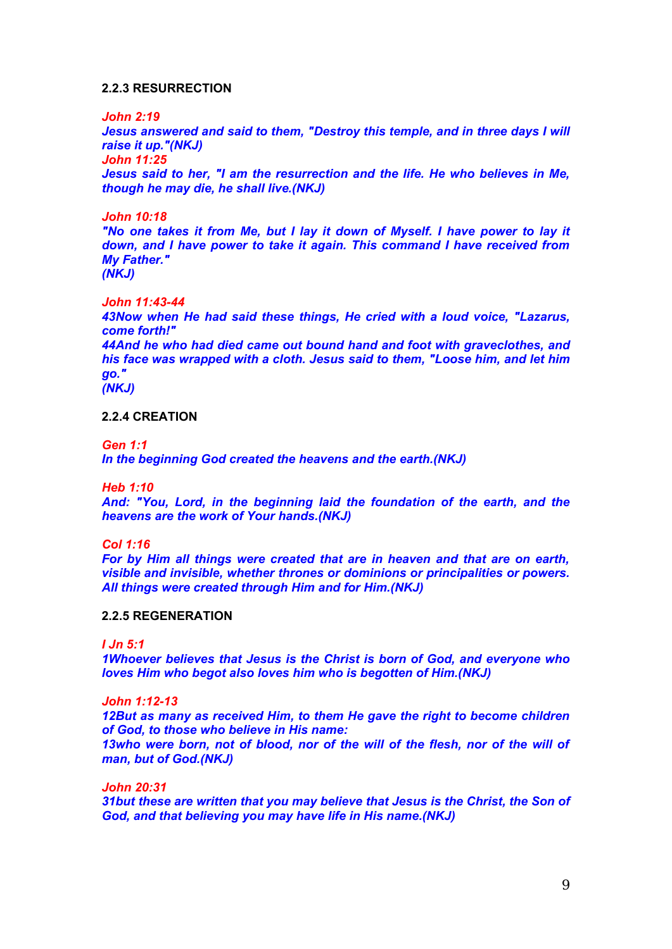# **2.2.3 RESURRECTION**

*John 2:19 Jesus answered and said to them, "Destroy this temple, and in three days I will raise it up."(NKJ) John 11:25 Jesus said to her, "I am the resurrection and the life. He who believes in Me, though he may die, he shall live.(NKJ)*

*John 10:18 "No one takes it from Me, but I lay it down of Myself. I have power to lay it down, and I have power to take it again. This command I have received from My Father." (NKJ)*

*John 11:43-44*

*43Now when He had said these things, He cried with a loud voice, "Lazarus, come forth!"*

*44And he who had died came out bound hand and foot with graveclothes, and his face was wrapped with a cloth. Jesus said to them, "Loose him, and let him go."*

*(NKJ)* 

**2.2.4 CREATION**

*Gen 1:1*

*In the beginning God created the heavens and the earth.(NKJ)*

*Heb 1:10*

*And: "You, Lord, in the beginning laid the foundation of the earth, and the heavens are the work of Your hands.(NKJ)*

*Col 1:16*

*For by Him all things were created that are in heaven and that are on earth, visible and invisible, whether thrones or dominions or principalities or powers. All things were created through Him and for Him.(NKJ)*

# **2.2.5 REGENERATION**

*I Jn 5:1*

*1Whoever believes that Jesus is the Christ is born of God, and everyone who loves Him who begot also loves him who is begotten of Him.(NKJ)*

*John 1:12-13*

*12But as many as received Him, to them He gave the right to become children of God, to those who believe in His name:*

*13who were born, not of blood, nor of the will of the flesh, nor of the will of man, but of God.(NKJ)*

*John 20:31 31but these are written that you may believe that Jesus is the Christ, the Son of God, and that believing you may have life in His name.(NKJ)*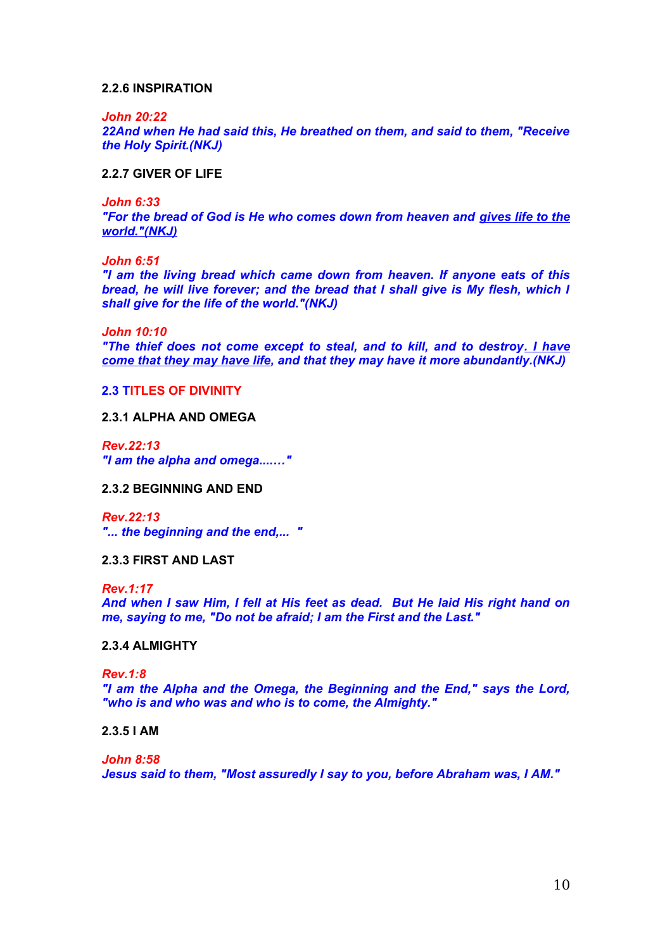### **2.2.6 INSPIRATION**

*John 20:22*

*22And when He had said this, He breathed on them, and said to them, "Receive the Holy Spirit.(NKJ)*

### **2.2.7 GIVER OF LIFE**

*John 6:33 "For the bread of God is He who comes down from heaven and gives life to the world."(NKJ)*

*John 6:51*

*"I am the living bread which came down from heaven. If anyone eats of this bread, he will live forever; and the bread that I shall give is My flesh, which I shall give for the life of the world."(NKJ)*

*John 10:10*

*"The thief does not come except to steal, and to kill, and to destroy. I have come that they may have life, and that they may have it more abundantly.(NKJ)*

# **2.3 TITLES OF DIVINITY**

**2.3.1 ALPHA AND OMEGA**

*Rev.22:13 "I am the alpha and omega....…"*

**2.3.2 BEGINNING AND END**

*Rev.22:13 "... the beginning and the end,... "*

**2.3.3 FIRST AND LAST**

*Rev.1:17*

*And when I saw Him, I fell at His feet as dead. But He laid His right hand on me, saying to me, "Do not be afraid; I am the First and the Last."*

### **2.3.4 ALMIGHTY**

*Rev.1:8*

*"I am the Alpha and the Omega, the Beginning and the End," says the Lord, "who is and who was and who is to come, the Almighty."*

#### **2.3.5 I AM**

*John 8:58 Jesus said to them, "Most assuredly I say to you, before Abraham was, I AM."*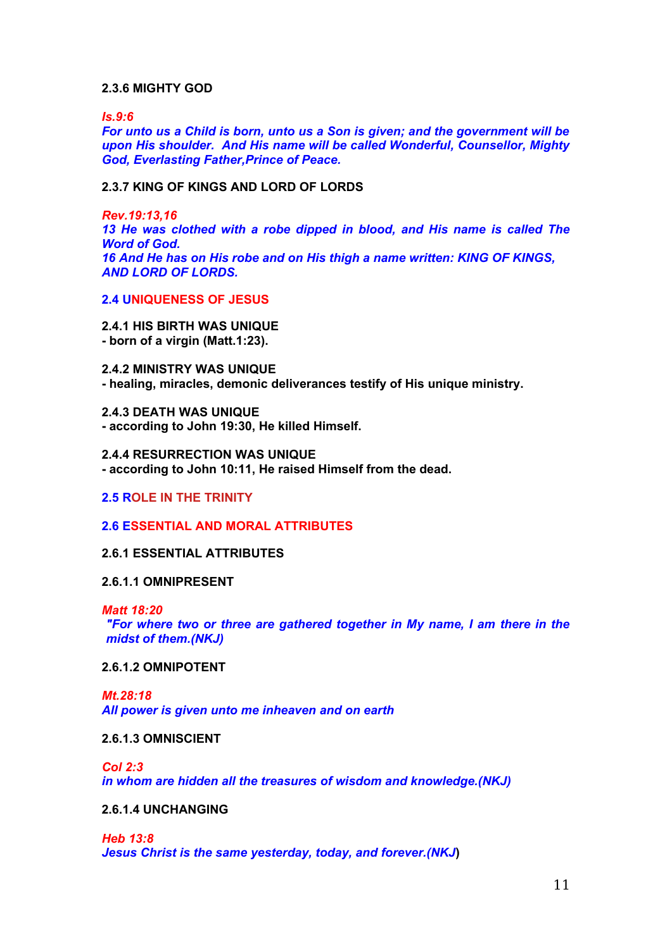# **2.3.6 MIGHTY GOD**

*Is.9:6*

*For unto us a Child is born, unto us a Son is given; and the government will be upon His shoulder. And His name will be called Wonderful, Counsellor, Mighty God, Everlasting Father,Prince of Peace.*

# **2.3.7 KING OF KINGS AND LORD OF LORDS**

*Rev.19:13,16 13 He was clothed with a robe dipped in blood, and His name is called The Word of God. 16 And He has on His robe and on His thigh a name written: KING OF KINGS, AND LORD OF LORDS.*

# **2.4 UNIQUENESS OF JESUS**

**2.4.1 HIS BIRTH WAS UNIQUE - born of a virgin (Matt.1:23).**

**2.4.2 MINISTRY WAS UNIQUE - healing, miracles, demonic deliverances testify of His unique ministry.**

**2.4.3 DEATH WAS UNIQUE - according to John 19:30, He killed Himself.**

**2.4.4 RESURRECTION WAS UNIQUE - according to John 10:11, He raised Himself from the dead.**

## **2.5 ROLE IN THE TRINITY**

# **2.6 ESSENTIAL AND MORAL ATTRIBUTES**

### **2.6.1 ESSENTIAL ATTRIBUTES**

# **2.6.1.1 OMNIPRESENT**

*Matt 18:20*

*"For where two or three are gathered together in My name, I am there in the midst of them.(NKJ)*

### **2.6.1.2 OMNIPOTENT**

*Mt.28:18 All power is given unto me inheaven and on earth*

**2.6.1.3 OMNISCIENT**

*Col 2:3*

*in whom are hidden all the treasures of wisdom and knowledge.(NKJ)*

# **2.6.1.4 UNCHANGING**

*Heb 13:8 Jesus Christ is the same yesterday, today, and forever.(NKJ***)**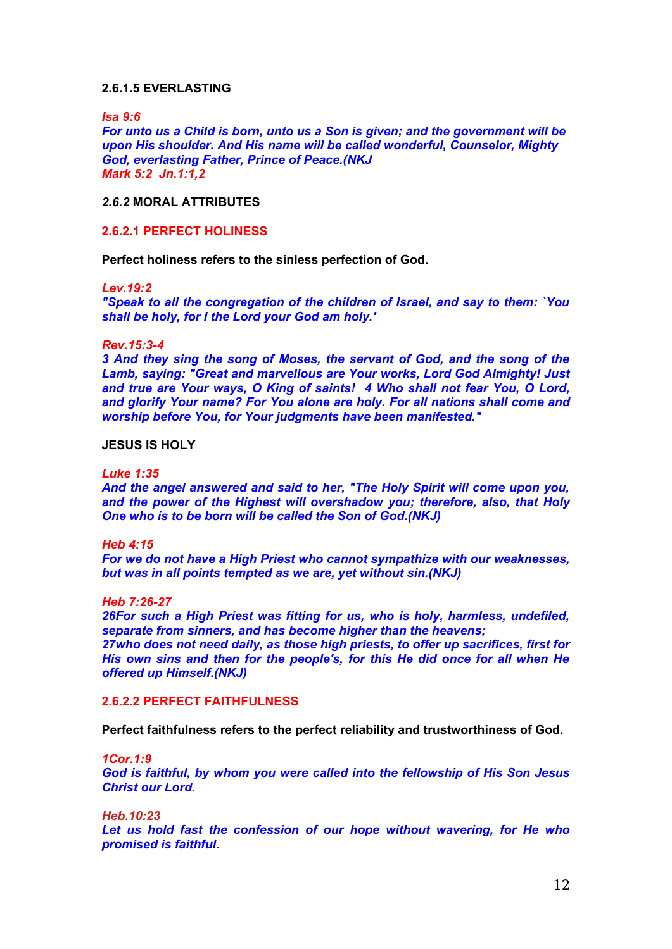### **2.6.1.5 EVERLASTING**

*Isa 9:6*

*For unto us a Child is born, unto us a Son is given; and the government will be upon His shoulder. And His name will be called wonderful, Counselor, Mighty God, everlasting Father, Prince of Peace.(NKJ Mark 5:2 Jn.1:1,2*

# *2.6.2* **MORAL ATTRIBUTES**

# **2.6.2.1 PERFECT HOLINESS**

**Perfect holiness refers to the sinless perfection of God.**

#### *Lev.19:2*

*"Speak to all the congregation of the children of Israel, and say to them: `You shall be holy, for I the Lord your God am holy.'*

#### *Rev.15:3-4*

*3 And they sing the song of Moses, the servant of God, and the song of the Lamb, saying: "Great and marvellous are Your works, Lord God Almighty! Just and true are Your ways, O King of saints! 4 Who shall not fear You, O Lord, and glorify Your name? For You alone are holy. For all nations shall come and worship before You, for Your judgments have been manifested."*

### **JESUS IS HOLY**

### *Luke 1:35*

*And the angel answered and said to her, "The Holy Spirit will come upon you, and the power of the Highest will overshadow you; therefore, also, that Holy One who is to be born will be called the Son of God.(NKJ)*

*Heb 4:15*

*For we do not have a High Priest who cannot sympathize with our weaknesses, but was in all points tempted as we are, yet without sin.(NKJ)*

*Heb 7:26-27*

*26For such a High Priest was fitting for us, who is holy, harmless, undefiled, separate from sinners, and has become higher than the heavens;*

*27who does not need daily, as those high priests, to offer up sacrifices, first for His own sins and then for the people's, for this He did once for all when He offered up Himself.(NKJ)*

# **2.6.2.2 PERFECT FAITHFULNESS**

**Perfect faithfulness refers to the perfect reliability and trustworthiness of God.**

*1Cor.1:9*

*God is faithful, by whom you were called into the fellowship of His Son Jesus Christ our Lord.*

*Heb.10:23*

*Let us hold fast the confession of our hope without wavering, for He who promised is faithful.*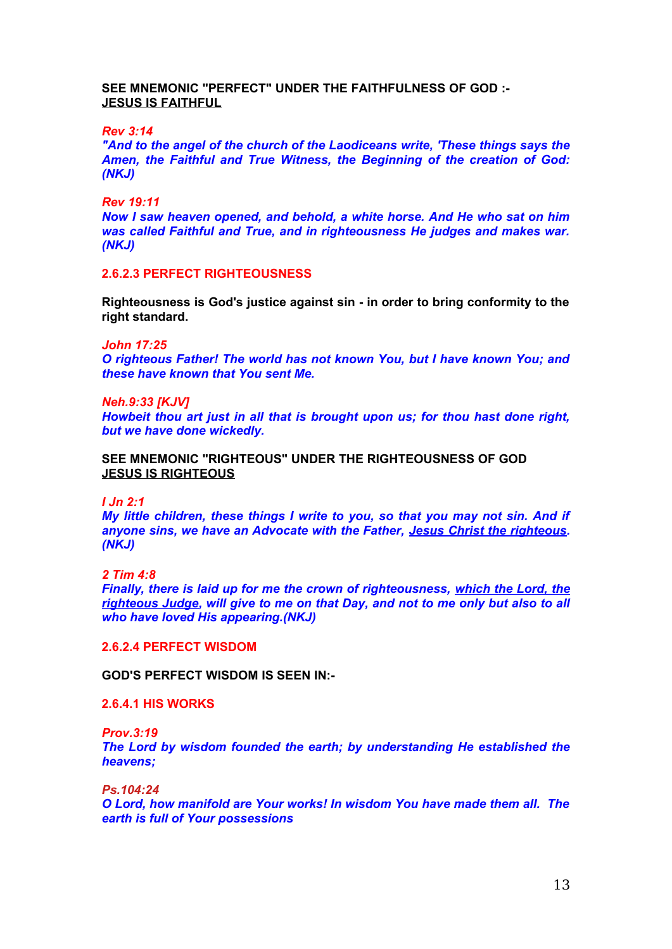# **SEE MNEMONIC "PERFECT" UNDER THE FAITHFULNESS OF GOD :- JESUS IS FAITHFUL**

*Rev 3:14*

*"And to the angel of the church of the Laodiceans write, 'These things says the Amen, the Faithful and True Witness, the Beginning of the creation of God: (NKJ)*

*Rev 19:11*

*Now I saw heaven opened, and behold, a white horse. And He who sat on him was called Faithful and True, and in righteousness He judges and makes war. (NKJ)*

# **2.6.2.3 PERFECT RIGHTEOUSNESS**

**Righteousness is God's justice against sin - in order to bring conformity to the right standard.**

*John 17:25*

*O righteous Father! The world has not known You, but I have known You; and these have known that You sent Me.*

#### *Neh.9:33 [KJV]*

*Howbeit thou art just in all that is brought upon us; for thou hast done right, but we have done wickedly.*

**SEE MNEMONIC "RIGHTEOUS" UNDER THE RIGHTEOUSNESS OF GOD JESUS IS RIGHTEOUS**

*I Jn 2:1*

*My little children, these things I write to you, so that you may not sin. And if anyone sins, we have an Advocate with the Father, Jesus Christ the righteous. (NKJ)*

*2 Tim 4:8*

*Finally, there is laid up for me the crown of righteousness, which the Lord, the righteous Judge, will give to me on that Day, and not to me only but also to all who have loved His appearing.(NKJ)*

**2.6.2.4 PERFECT WISDOM**

**GOD'S PERFECT WISDOM IS SEEN IN:-**

**2.6.4.1 HIS WORKS**

*Prov.3:19*

*The Lord by wisdom founded the earth; by understanding He established the heavens;*

*Ps.104:24*

*O Lord, how manifold are Your works! In wisdom You have made them all. The earth is full of Your possessions*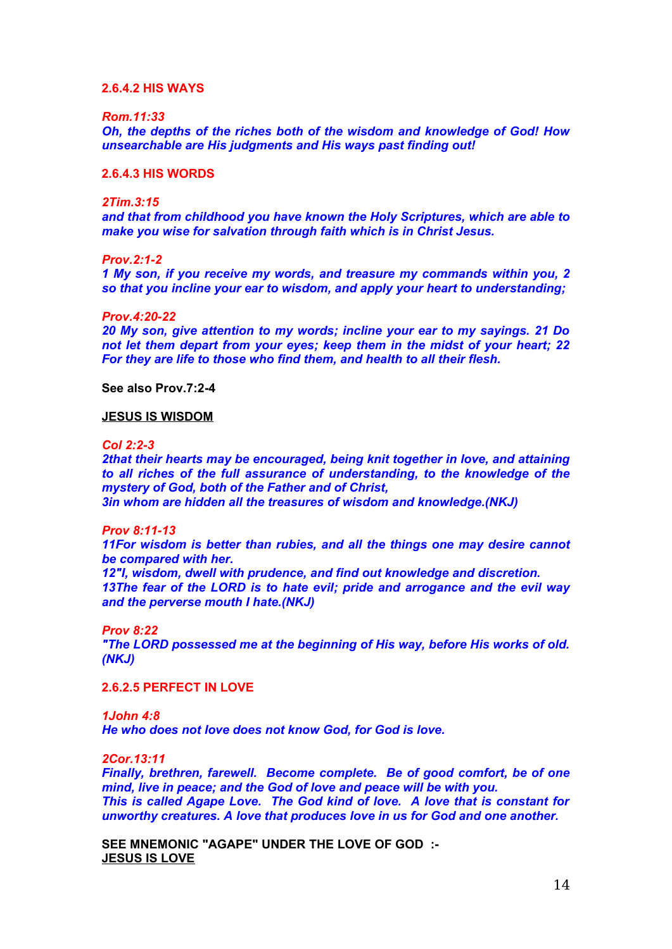#### **2.6.4.2 HIS WAYS**

#### *Rom.11:33*

*Oh, the depths of the riches both of the wisdom and knowledge of God! How unsearchable are His judgments and His ways past finding out!*

### **2.6.4.3 HIS WORDS**

### *2Tim.3:15*

*and that from childhood you have known the Holy Scriptures, which are able to make you wise for salvation through faith which is in Christ Jesus.*

#### *Prov.2:1-2*

*1 My son, if you receive my words, and treasure my commands within you, 2 so that you incline your ear to wisdom, and apply your heart to understanding;*

### *Prov.4:20-22*

*20 My son, give attention to my words; incline your ear to my sayings. 21 Do not let them depart from your eyes; keep them in the midst of your heart; 22 For they are life to those who find them, and health to all their flesh.*

**See also Prov.7:2-4**

# **JESUS IS WISDOM**

*Col 2:2-3*

*2that their hearts may be encouraged, being knit together in love, and attaining to all riches of the full assurance of understanding, to the knowledge of the mystery of God, both of the Father and of Christ, 3in whom are hidden all the treasures of wisdom and knowledge.(NKJ)*

### *Prov 8:11-13*

*11For wisdom is better than rubies, and all the things one may desire cannot be compared with her.*

*12"I, wisdom, dwell with prudence, and find out knowledge and discretion. 13The fear of the LORD is to hate evil; pride and arrogance and the evil way and the perverse mouth I hate.(NKJ)*

*Prov 8:22*

*"The LORD possessed me at the beginning of His way, before His works of old. (NKJ)*

**2.6.2.5 PERFECT IN LOVE**

*1John 4:8 He who does not love does not know God, for God is love.*

*2Cor.13:11*

*Finally, brethren, farewell. Become complete. Be of good comfort, be of one mind, live in peace; and the God of love and peace will be with you. This is called Agape Love. The God kind of love. A love that is constant for unworthy creatures. A love that produces love in us for God and one another.*

**SEE MNEMONIC "AGAPE" UNDER THE LOVE OF GOD :- JESUS IS LOVE**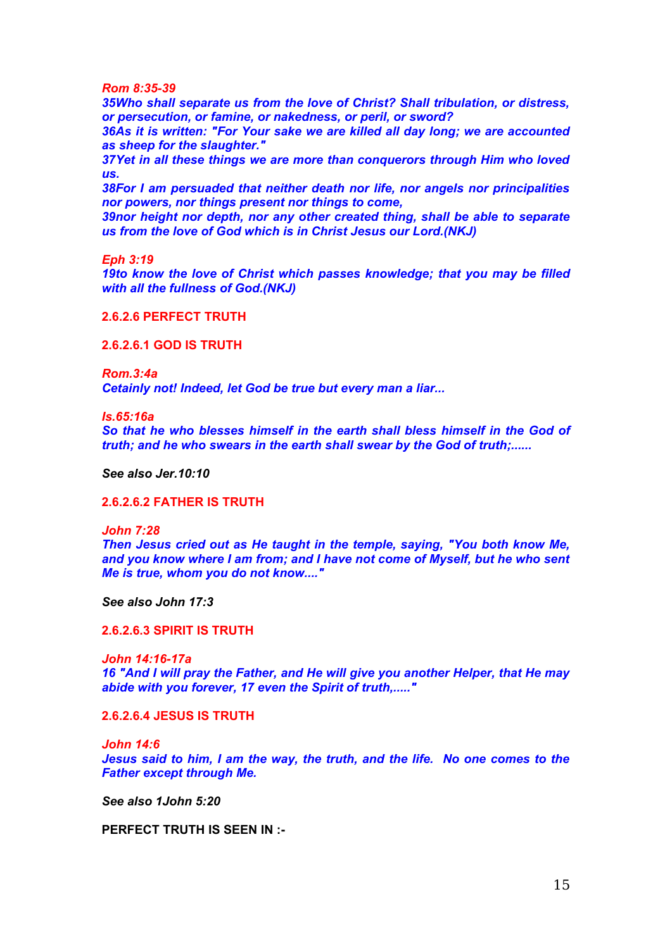*Rom 8:35-39*

*35Who shall separate us from the love of Christ? Shall tribulation, or distress, or persecution, or famine, or nakedness, or peril, or sword?*

*36As it is written: "For Your sake we are killed all day long; we are accounted as sheep for the slaughter."*

*37Yet in all these things we are more than conquerors through Him who loved us.*

*38For I am persuaded that neither death nor life, nor angels nor principalities nor powers, nor things present nor things to come,*

*39nor height nor depth, nor any other created thing, shall be able to separate us from the love of God which is in Christ Jesus our Lord.(NKJ)*

*Eph 3:19*

*19to know the love of Christ which passes knowledge; that you may be filled with all the fullness of God.(NKJ)*

**2.6.2.6 PERFECT TRUTH**

**2.6.2.6.1 GOD IS TRUTH**

*Rom.3:4a Cetainly not! Indeed, let God be true but every man a liar...*

*Is.65:16a*

*So that he who blesses himself in the earth shall bless himself in the God of truth; and he who swears in the earth shall swear by the God of truth;......*

*See also Jer.10:10*

**2.6.2.6.2 FATHER IS TRUTH**

*John 7:28*

*Then Jesus cried out as He taught in the temple, saying, "You both know Me, and you know where I am from; and I have not come of Myself, but he who sent Me is true, whom you do not know...."*

*See also John 17:3*

**2.6.2.6.3 SPIRIT IS TRUTH**

*John 14:16-17a 16 "And I will pray the Father, and He will give you another Helper, that He may abide with you forever, 17 even the Spirit of truth,....."*

**2.6.2.6.4 JESUS IS TRUTH**

*John 14:6 Jesus said to him, I am the way, the truth, and the life. No one comes to the Father except through Me.*

*See also 1John 5:20*

**PERFECT TRUTH IS SEEN IN :-**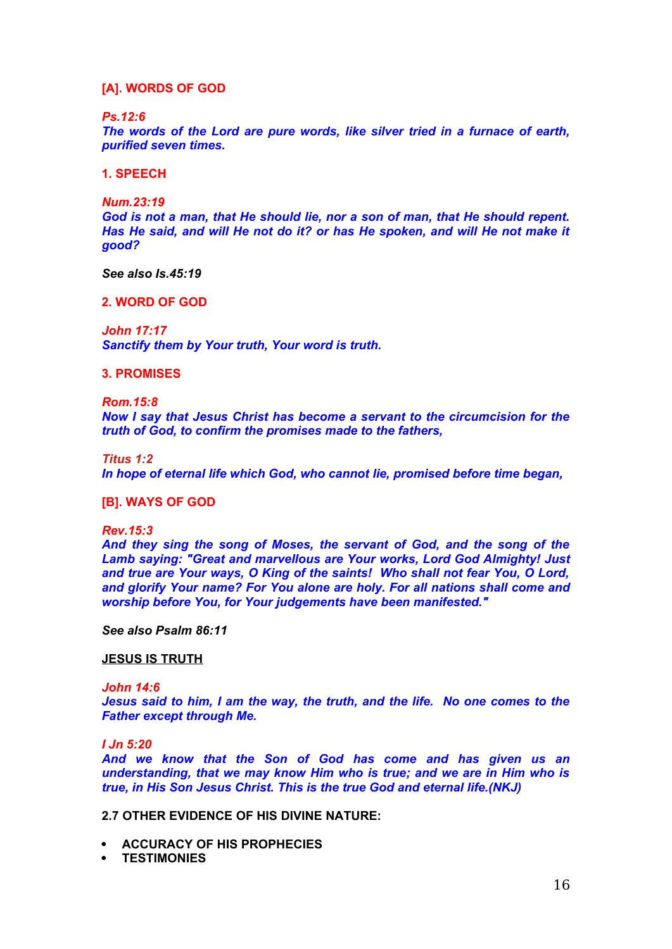## **[A]. WORDS OF GOD**

### *Ps.12:6*

*The words of the Lord are pure words, like silver tried in a furnace of earth, purified seven times.*

### **1. SPEECH**

#### *Num.23:19*

*God is not a man, that He should lie, nor a son of man, that He should repent. Has He said, and will He not do it? or has He spoken, and will He not make it good?*

*See also Is.45:19*

### **2. WORD OF GOD**

*John 17:17 Sanctify them by Your truth, Your word is truth.*

### **3. PROMISES**

#### *Rom.15:8*

*Now I say that Jesus Christ has become a servant to the circumcision for the truth of God, to confirm the promises made to the fathers,*

*Titus 1:2*

*In hope of eternal life which God, who cannot lie, promised before time began,*

### **[B]. WAYS OF GOD**

#### *Rev.15:3*

*And they sing the song of Moses, the servant of God, and the song of the Lamb saying: "Great and marvellous are Your works, Lord God Almighty! Just and true are Your ways, O King of the saints! Who shall not fear You, O Lord, and glorify Your name? For You alone are holy. For all nations shall come and worship before You, for Your judgements have been manifested."*

*See also Psalm 86:11*

# **JESUS IS TRUTH**

#### *John 14:6*

*Jesus said to him, I am the way, the truth, and the life. No one comes to the Father except through Me.*

### *I Jn 5:20*

*And we know that the Son of God has come and has given us an understanding, that we may know Him who is true; and we are in Him who is true, in His Son Jesus Christ. This is the true God and eternal life.(NKJ)*

# **2.7 OTHER EVIDENCE OF HIS DIVINE NATURE:**

- **ACCURACY OF HIS PROPHECIES**
- **TESTIMONIES**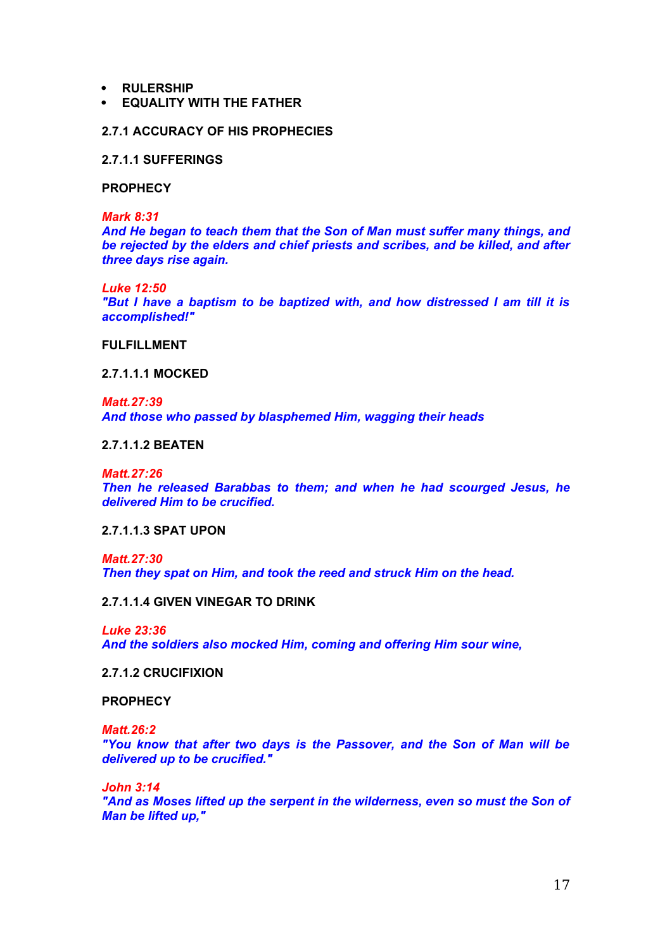- **RULERSHIP**
- **EQUALITY WITH THE FATHER**

### **2.7.1 ACCURACY OF HIS PROPHECIES**

**2.7.1.1 SUFFERINGS**

**PROPHECY**

*Mark 8:31*

*And He began to teach them that the Son of Man must suffer many things, and be rejected by the elders and chief priests and scribes, and be killed, and after three days rise again.*

*Luke 12:50 "But I have a baptism to be baptized with, and how distressed I am till it is accomplished!"*

**FULFILLMENT**

**2.7.1.1.1 MOCKED**

*Matt.27:39 And those who passed by blasphemed Him, wagging their heads*

**2.7.1.1.2 BEATEN**

*Matt.27:26*

*Then he released Barabbas to them; and when he had scourged Jesus, he delivered Him to be crucified.*

**2.7.1.1.3 SPAT UPON**

*Matt.27:30*

*Then they spat on Him, and took the reed and struck Him on the head.*

**2.7.1.1.4 GIVEN VINEGAR TO DRINK**

*Luke 23:36*

*And the soldiers also mocked Him, coming and offering Him sour wine,*

**2.7.1.2 CRUCIFIXION**

**PROPHECY**

*Matt.26:2*

*"You know that after two days is the Passover, and the Son of Man will be delivered up to be crucified."*

*John 3:14*

*"And as Moses lifted up the serpent in the wilderness, even so must the Son of Man be lifted up,"*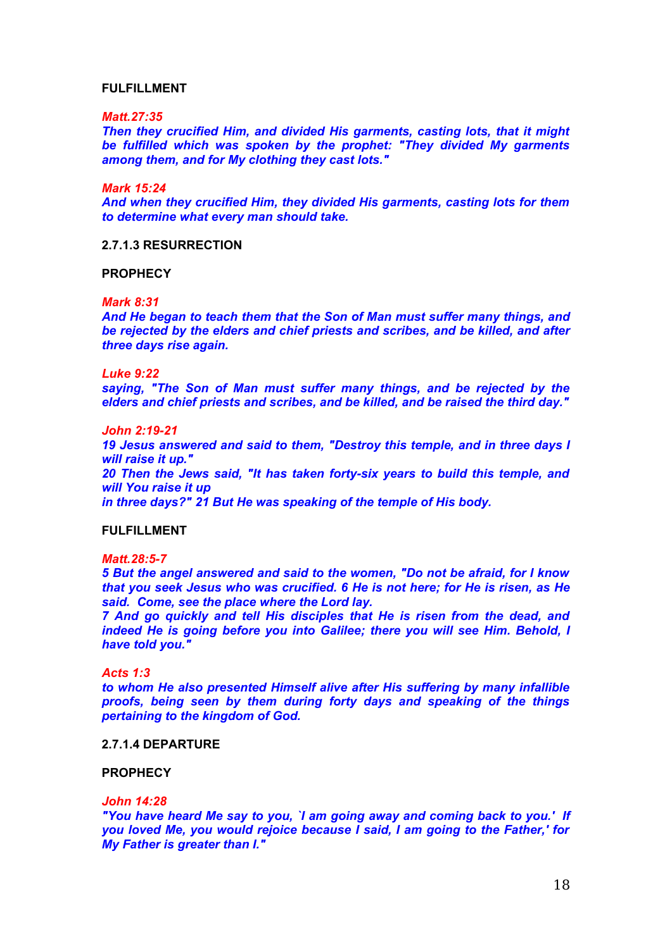#### **FULFILLMENT**

#### *Matt.27:35*

*Then they crucified Him, and divided His garments, casting lots, that it might be fulfilled which was spoken by the prophet: "They divided My garments among them, and for My clothing they cast lots."*

### *Mark 15:24*

*And when they crucified Him, they divided His garments, casting lots for them to determine what every man should take.*

# **2.7.1.3 RESURRECTION**

### **PROPHECY**

## *Mark 8:31*

*And He began to teach them that the Son of Man must suffer many things, and be rejected by the elders and chief priests and scribes, and be killed, and after three days rise again.*

### *Luke 9:22*

*saying, "The Son of Man must suffer many things, and be rejected by the elders and chief priests and scribes, and be killed, and be raised the third day."*

#### *John 2:19-21*

*19 Jesus answered and said to them, "Destroy this temple, and in three days I will raise it up."*

*20 Then the Jews said, "It has taken forty-six years to build this temple, and will You raise it up*

*in three days?" 21 But He was speaking of the temple of His body.*

### **FULFILLMENT**

#### *Matt.28:5-7*

*5 But the angel answered and said to the women, "Do not be afraid, for I know that you seek Jesus who was crucified. 6 He is not here; for He is risen, as He said. Come, see the place where the Lord lay.*

*7 And go quickly and tell His disciples that He is risen from the dead, and indeed He is going before you into Galilee; there you will see Him. Behold, I have told you."*

### *Acts 1:3*

*to whom He also presented Himself alive after His suffering by many infallible proofs, being seen by them during forty days and speaking of the things pertaining to the kingdom of God.*

### **2.7.1.4 DEPARTURE**

# **PROPHECY**

#### *John 14:28*

*"You have heard Me say to you, `I am going away and coming back to you.' If you loved Me, you would rejoice because I said, I am going to the Father,' for My Father is greater than I."*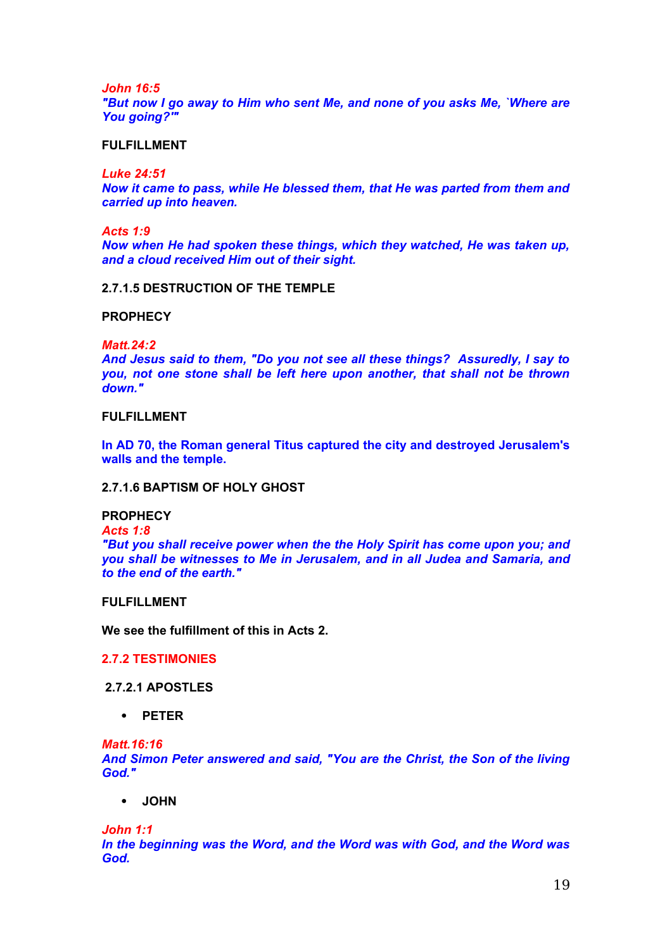*John 16:5*

*"But now I go away to Him who sent Me, and none of you asks Me, `Where are You going?'"*

**FULFILLMENT**

*Luke 24:51*

*Now it came to pass, while He blessed them, that He was parted from them and carried up into heaven.*

*Acts 1:9*

*Now when He had spoken these things, which they watched, He was taken up, and a cloud received Him out of their sight.*

**2.7.1.5 DESTRUCTION OF THE TEMPLE**

**PROPHECY**

*Matt.24:2*

*And Jesus said to them, "Do you not see all these things? Assuredly, I say to you, not one stone shall be left here upon another, that shall not be thrown down."*

**FULFILLMENT**

**In AD 70, the Roman general Titus captured the city and destroyed Jerusalem's walls and the temple.**

### **2.7.1.6 BAPTISM OF HOLY GHOST**

**PROPHECY**

*Acts 1:8*

*"But you shall receive power when the the Holy Spirit has come upon you; and you shall be witnesses to Me in Jerusalem, and in all Judea and Samaria, and to the end of the earth."*

**FULFILLMENT**

**We see the fulfillment of this in Acts 2.**

**2.7.2 TESTIMONIES**

**2.7.2.1 APOSTLES**

**PETER**

*Matt.16:16*

*And Simon Peter answered and said, "You are the Christ, the Son of the living God."*

**JOHN**

*John 1:1*

*In the beginning was the Word, and the Word was with God, and the Word was God.*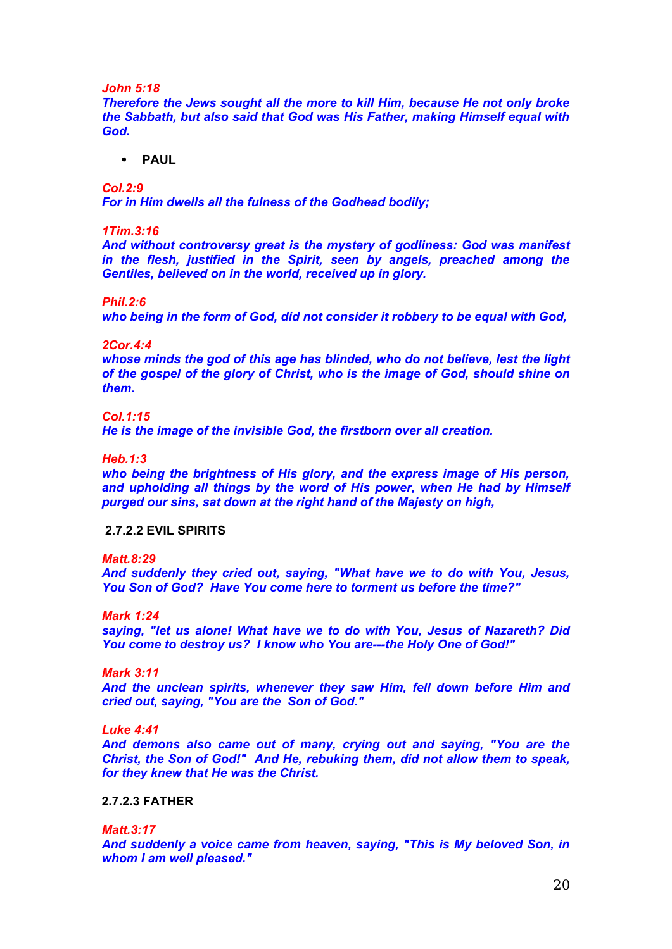### *John 5:18*

*Therefore the Jews sought all the more to kill Him, because He not only broke the Sabbath, but also said that God was His Father, making Himself equal with God.*

# **PAUL**

*Col.2:9 For in Him dwells all the fulness of the Godhead bodily;*

### *1Tim.3:16*

*And without controversy great is the mystery of godliness: God was manifest in the flesh, justified in the Spirit, seen by angels, preached among the Gentiles, believed on in the world, received up in glory.*

### *Phil.2:6*

*who being in the form of God, did not consider it robbery to be equal with God,*

### *2Cor.4:4*

*whose minds the god of this age has blinded, who do not believe, lest the light of the gospel of the glory of Christ, who is the image of God, should shine on them.*

# *Col.1:15*

*He is the image of the invisible God, the firstborn over all creation.*

### *Heb.1:3*

*who being the brightness of His glory, and the express image of His person, and upholding all things by the word of His power, when He had by Himself purged our sins, sat down at the right hand of the Majesty on high,*

# **2.7.2.2 EVIL SPIRITS**

### *Matt.8:29*

*And suddenly they cried out, saying, "What have we to do with You, Jesus, You Son of God? Have You come here to torment us before the time?"*

# *Mark 1:24*

*saying, "let us alone! What have we to do with You, Jesus of Nazareth? Did You come to destroy us? I know who You are---the Holy One of God!"*

#### *Mark 3:11*

*And the unclean spirits, whenever they saw Him, fell down before Him and cried out, saying, "You are the Son of God."*

### *Luke 4:41*

*And demons also came out of many, crying out and saying, "You are the Christ, the Son of God!" And He, rebuking them, did not allow them to speak, for they knew that He was the Christ.*

# **2.7.2.3 FATHER**

### *Matt.3:17*

*And suddenly a voice came from heaven, saying, "This is My beloved Son, in whom I am well pleased."*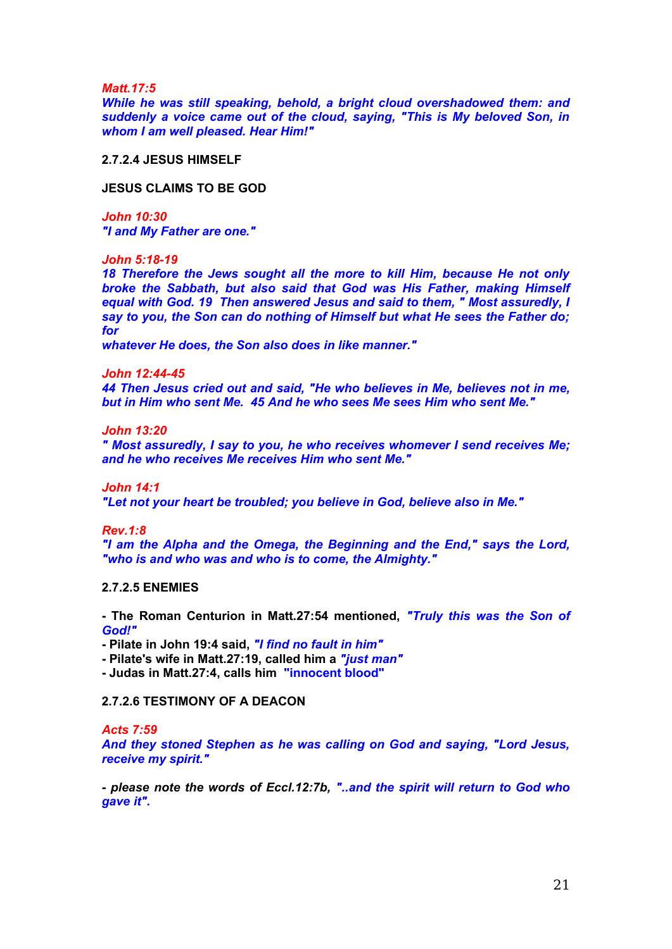*Matt.17:5*

*While he was still speaking, behold, a bright cloud overshadowed them: and suddenly a voice came out of the cloud, saying, "This is My beloved Son, in whom I am well pleased. Hear Him!"*

**2.7.2.4 JESUS HIMSELF**

**JESUS CLAIMS TO BE GOD**

*John 10:30 "I and My Father are one."*

*John 5:18-19*

*18 Therefore the Jews sought all the more to kill Him, because He not only broke the Sabbath, but also said that God was His Father, making Himself equal with God. 19 Then answered Jesus and said to them, " Most assuredly, I say to you, the Son can do nothing of Himself but what He sees the Father do; for*

*whatever He does, the Son also does in like manner."*

*John 12:44-45*

*44 Then Jesus cried out and said, "He who believes in Me, believes not in me, but in Him who sent Me. 45 And he who sees Me sees Him who sent Me."*

*John 13:20 " Most assuredly, I say to you, he who receives whomever I send receives Me; and he who receives Me receives Him who sent Me."*

*John 14:1 "Let not your heart be troubled; you believe in God, believe also in Me."*

*Rev.1:8*

*"I am the Alpha and the Omega, the Beginning and the End," says the Lord, "who is and who was and who is to come, the Almighty."*

# **2.7.2.5 ENEMIES**

**- The Roman Centurion in Matt.27:54 mentioned,** *"Truly this was the Son of God!"*

**- Pilate in John 19:4 said,** *"I find no fault in him"*

**- Pilate's wife in Matt.27:19, called him a** *"just man"*

**- Judas in Matt.27:4, calls him "innocent blood"**

# **2.7.2.6 TESTIMONY OF A DEACON**

*Acts 7:59 And they stoned Stephen as he was calling on God and saying, "Lord Jesus, receive my spirit."*

*- please note the words of Eccl.12:7b, "..and the spirit will return to God who gave it".*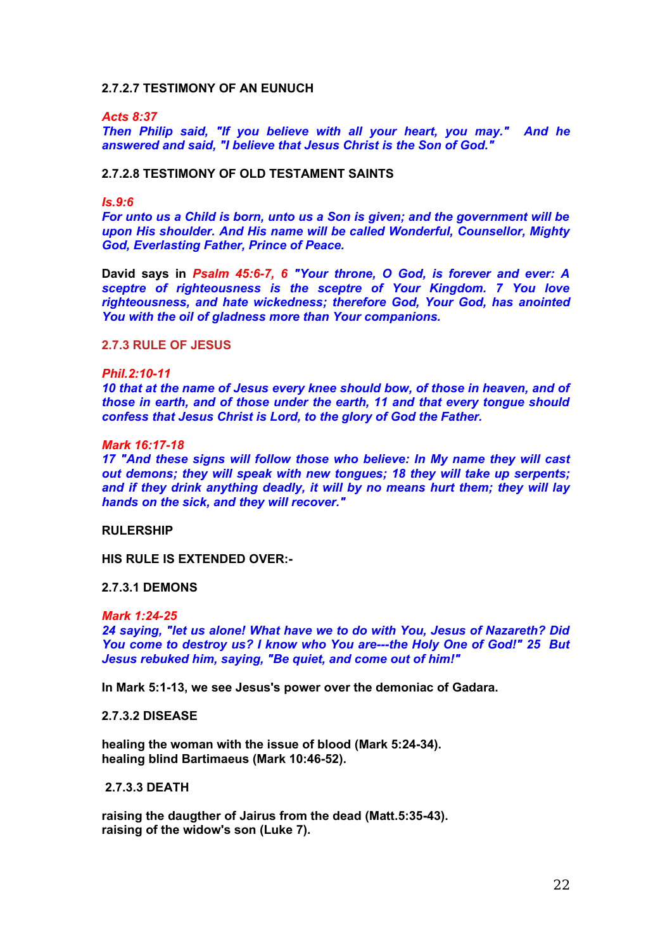# **2.7.2.7 TESTIMONY OF AN EUNUCH**

*Acts 8:37*

*Then Philip said, "If you believe with all your heart, you may." And he answered and said, "I believe that Jesus Christ is the Son of God."*

### **2.7.2.8 TESTIMONY OF OLD TESTAMENT SAINTS**

### *Is.9:6*

*For unto us a Child is born, unto us a Son is given; and the government will be upon His shoulder. And His name will be called Wonderful, Counsellor, Mighty God, Everlasting Father, Prince of Peace.*

**David says in** *Psalm 45:6-7, 6 "Your throne, O God, is forever and ever: A sceptre of righteousness is the sceptre of Your Kingdom. 7 You love righteousness, and hate wickedness; therefore God, Your God, has anointed You with the oil of gladness more than Your companions.*

#### **2.7.3 RULE OF JESUS**

#### *Phil.2:10-11*

*10 that at the name of Jesus every knee should bow, of those in heaven, and of those in earth, and of those under the earth, 11 and that every tongue should confess that Jesus Christ is Lord, to the glory of God the Father.*

#### *Mark 16:17-18*

*17 "And these signs will follow those who believe: In My name they will cast out demons; they will speak with new tongues; 18 they will take up serpents; and if they drink anything deadly, it will by no means hurt them; they will lay hands on the sick, and they will recover."*

### **RULERSHIP**

**HIS RULE IS EXTENDED OVER:-**

### **2.7.3.1 DEMONS**

### *Mark 1:24-25*

*24 saying, "let us alone! What have we to do with You, Jesus of Nazareth? Did You come to destroy us? I know who You are---the Holy One of God!" 25 But Jesus rebuked him, saying, "Be quiet, and come out of him!"*

**In Mark 5:1-13, we see Jesus's power over the demoniac of Gadara.**

### **2.7.3.2 DISEASE**

**healing the woman with the issue of blood (Mark 5:24-34). healing blind Bartimaeus (Mark 10:46-52).**

# **2.7.3.3 DEATH**

**raising the daugther of Jairus from the dead (Matt.5:35-43). raising of the widow's son (Luke 7).**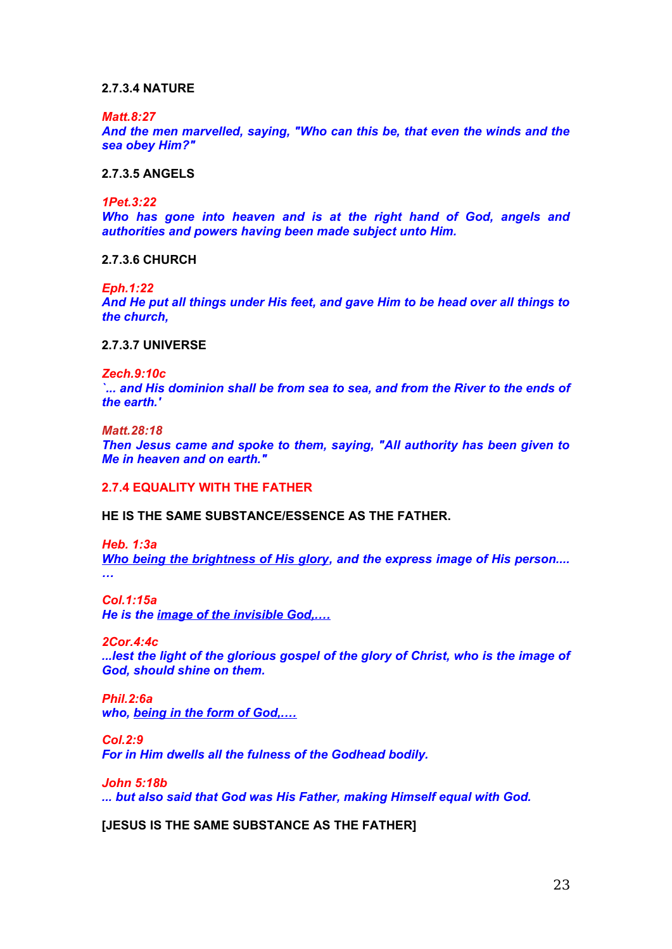## **2.7.3.4 NATURE**

### *Matt.8:27*

*And the men marvelled, saying, "Who can this be, that even the winds and the sea obey Him?"*

# **2.7.3.5 ANGELS**

#### *1Pet.3:22*

*Who has gone into heaven and is at the right hand of God, angels and authorities and powers having been made subject unto Him.*

### **2.7.3.6 CHURCH**

*Eph.1:22*

*And He put all things under His feet, and gave Him to be head over all things to the church,*

### **2.7.3.7 UNIVERSE**

### *Zech.9:10c*

*`... and His dominion shall be from sea to sea, and from the River to the ends of the earth.'*

*Matt.28:18 Then Jesus came and spoke to them, saying, "All authority has been given to Me in heaven and on earth."*

# **2.7.4 EQUALITY WITH THE FATHER**

**HE IS THE SAME SUBSTANCE/ESSENCE AS THE FATHER.**

*Heb. 1:3a*

*Who being the brightness of His glory, and the express image of His person.... …*

*Col.1:15a He is the image of the invisible God,.…*

*2Cor.4:4c*

*...lest the light of the glorious gospel of the glory of Christ, who is the image of God, should shine on them.*

*Phil.2:6a who, being in the form of God,.…*

*Col.2:9 For in Him dwells all the fulness of the Godhead bodily.*

*John 5:18b ... but also said that God was His Father, making Himself equal with God.*

**[JESUS IS THE SAME SUBSTANCE AS THE FATHER]**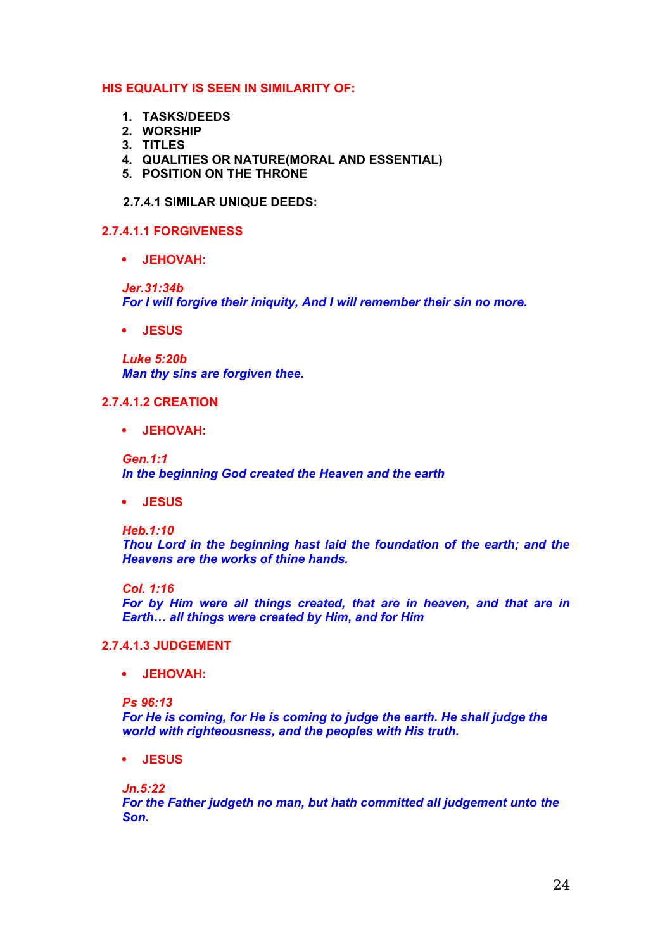# **HIS EQUALITY IS SEEN IN SIMILARITY OF:**

- **1. TASKS/DEEDS**
- **2. WORSHIP**
- **3. TITLES**
- **4. QUALITIES OR NATURE(MORAL AND ESSENTIAL)**
- **5. POSITION ON THE THRONE**

**2.7.4.1 SIMILAR UNIQUE DEEDS:**

# **2.7.4.1.1 FORGIVENESS**

**JEHOVAH:**

### *Jer.31:34b*

*For I will forgive their iniquity, And I will remember their sin no more.*

**JESUS**

*Luke 5:20b Man thy sins are forgiven thee.*

# **2.7.4.1.2 CREATION**

**JEHOVAH:**

*Gen.1:1 In the beginning God created the Heaven and the earth*

**JESUS**

*Heb.1:10* 

*Thou Lord in the beginning hast laid the foundation of the earth; and the Heavens are the works of thine hands.*

*Col. 1:16 For by Him were all things created, that are in heaven, and that are in Earth… all things were created by Him, and for Him*

### **2.7.4.1.3 JUDGEMENT**

**JEHOVAH:**

*Ps 96:13*

*For He is coming, for He is coming to judge the earth. He shall judge the world with righteousness, and the peoples with His truth.* 

**JESUS**

*Jn.5:22* 

*For the Father judgeth no man, but hath committed all judgement unto the Son.*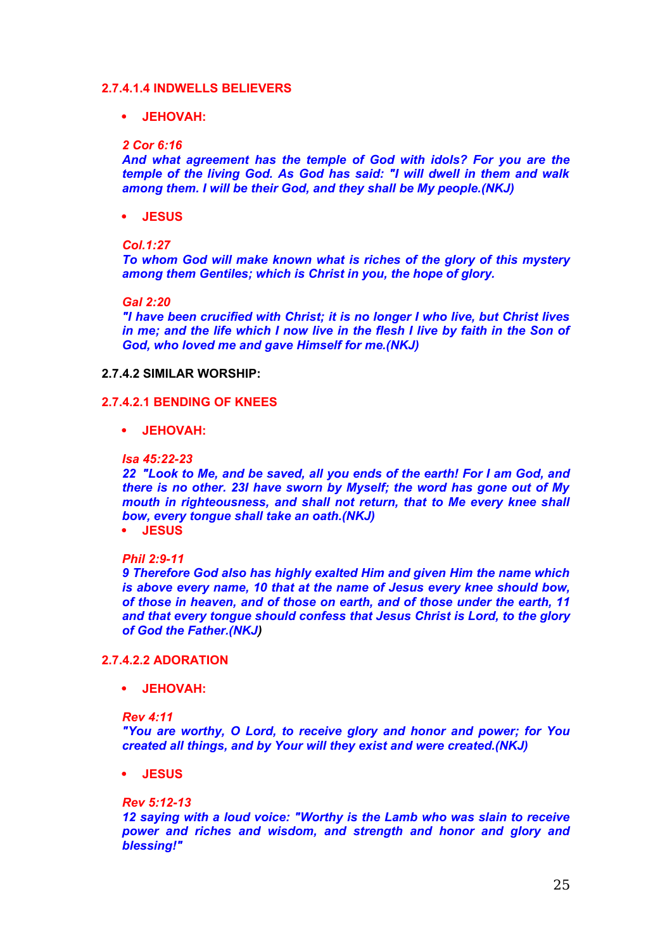# **2.7.4.1.4 INDWELLS BELIEVERS**

# **JEHOVAH:**

## *2 Cor 6:16*

*And what agreement has the temple of God with idols? For you are the temple of the living God. As God has said: "I will dwell in them and walk among them. I will be their God, and they shall be My people.(NKJ)*

# **JESUS**

# *Col.1:27*

*To whom God will make known what is riches of the glory of this mystery among them Gentiles; which is Christ in you, the hope of glory.*

### *Gal 2:20*

*"I have been crucified with Christ; it is no longer I who live, but Christ lives in me; and the life which I now live in the flesh I live by faith in the Son of God, who loved me and gave Himself for me.(NKJ)*

# **2.7.4.2 SIMILAR WORSHIP:**

# **2.7.4.2.1 BENDING OF KNEES**

**JEHOVAH:**

### *Isa 45:22-23*

*22 "Look to Me, and be saved, all you ends of the earth! For I am God, and there is no other. 23I have sworn by Myself; the word has gone out of My mouth in righteousness, and shall not return, that to Me every knee shall bow, every tongue shall take an oath.(NKJ)*

**JESUS**

### *Phil 2:9-11*

*9 Therefore God also has highly exalted Him and given Him the name which is above every name, 10 that at the name of Jesus every knee should bow, of those in heaven, and of those on earth, and of those under the earth, 11 and that every tongue should confess that Jesus Christ is Lord, to the glory of God the Father.(NKJ)*

# **2.7.4.2.2 ADORATION**

**JEHOVAH:**

### *Rev 4:11*

*"You are worthy, O Lord, to receive glory and honor and power; for You created all things, and by Your will they exist and were created.(NKJ)*

**JESUS**

### *Rev 5:12-13*

*12 saying with a loud voice: "Worthy is the Lamb who was slain to receive power and riches and wisdom, and strength and honor and glory and blessing!"*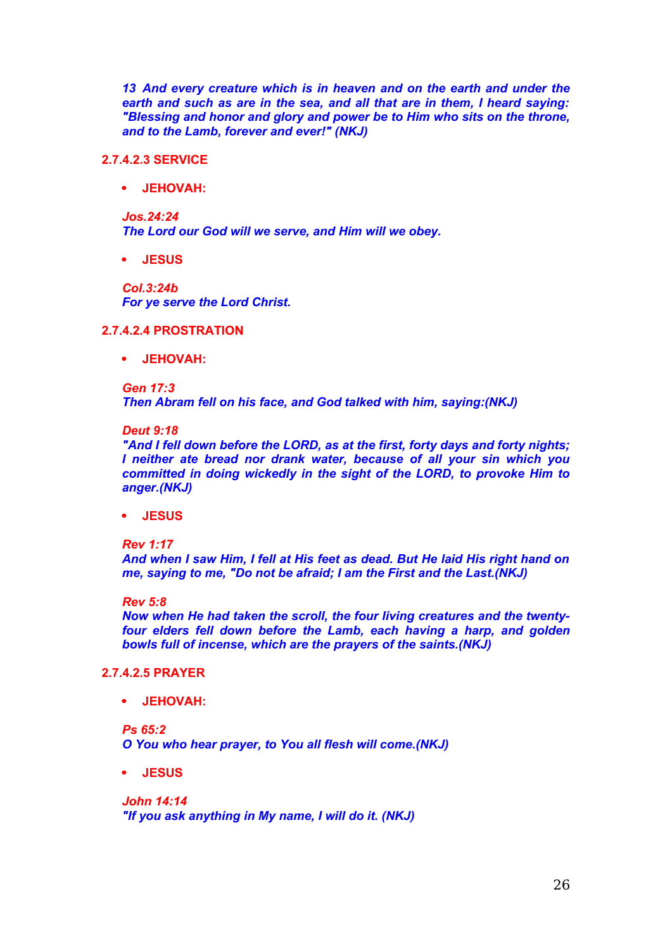*13 And every creature which is in heaven and on the earth and under the earth and such as are in the sea, and all that are in them, I heard saying: "Blessing and honor and glory and power be to Him who sits on the throne, and to the Lamb, forever and ever!" (NKJ)*

# **2.7.4.2.3 SERVICE**

**JEHOVAH:**

*Jos.24:24 The Lord our God will we serve, and Him will we obey.*

**JESUS**

*Col.3:24b For ye serve the Lord Christ.*

# **2.7.4.2.4 PROSTRATION**

**JEHOVAH:**

# *Gen 17:3 Then Abram fell on his face, and God talked with him, saying:(NKJ)*

# *Deut 9:18*

*"And I fell down before the LORD, as at the first, forty days and forty nights; I neither ate bread nor drank water, because of all your sin which you committed in doing wickedly in the sight of the LORD, to provoke Him to anger.(NKJ)*

**JESUS**

*Rev 1:17*

*And when I saw Him, I fell at His feet as dead. But He laid His right hand on me, saying to me, "Do not be afraid; I am the First and the Last.(NKJ)*

### *Rev 5:8*

*Now when He had taken the scroll, the four living creatures and the twentyfour elders fell down before the Lamb, each having a harp, and golden bowls full of incense, which are the prayers of the saints.(NKJ)*

# **2.7.4.2.5 PRAYER**

**JEHOVAH:**

# *Ps 65:2 O You who hear prayer, to You all flesh will come.(NKJ)*

**JESUS**

*John 14:14 "If you ask anything in My name, I will do it. (NKJ)*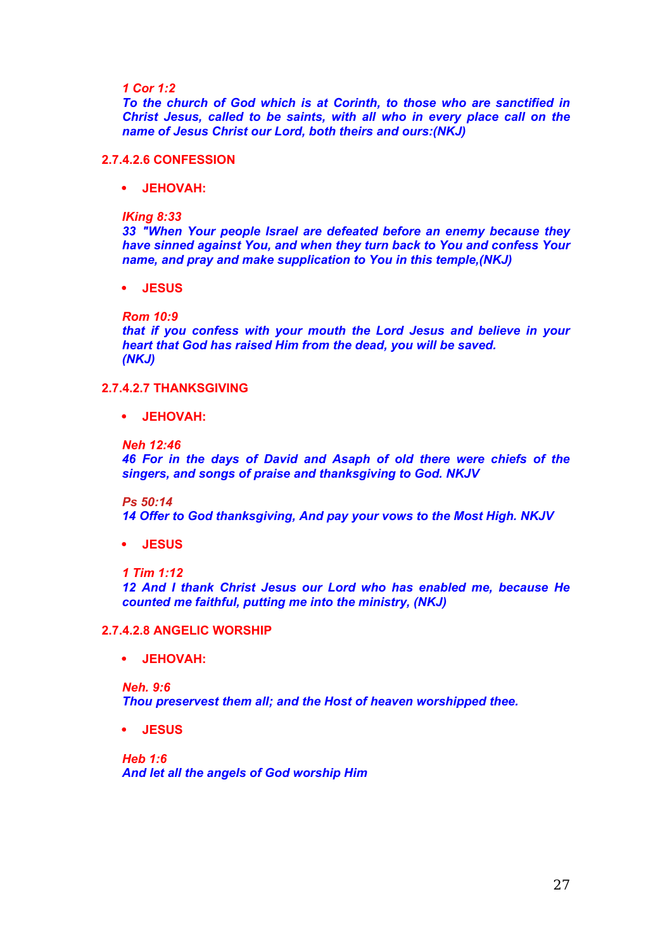*1 Cor 1:2*

*To the church of God which is at Corinth, to those who are sanctified in Christ Jesus, called to be saints, with all who in every place call on the name of Jesus Christ our Lord, both theirs and ours:(NKJ)*

# **2.7.4.2.6 CONFESSION**

**JEHOVAH:**

*IKing 8:33*

*33 "When Your people Israel are defeated before an enemy because they have sinned against You, and when they turn back to You and confess Your name, and pray and make supplication to You in this temple,(NKJ)*

**JESUS**

# *Rom 10:9*

*that if you confess with your mouth the Lord Jesus and believe in your heart that God has raised Him from the dead, you will be saved. (NKJ)*

# **2.7.4.2.7 THANKSGIVING**

**JEHOVAH:**

### *Neh 12:46*

*46 For in the days of David and Asaph of old there were chiefs of the singers, and songs of praise and thanksgiving to God. NKJV*

*Ps 50:14*

*14 Offer to God thanksgiving, And pay your vows to the Most High. NKJV*

- **JESUS**
- *1 Tim 1:12*

*12 And I thank Christ Jesus our Lord who has enabled me, because He counted me faithful, putting me into the ministry, (NKJ)*

### **2.7.4.2.8 ANGELIC WORSHIP**

**JEHOVAH:**

*Neh. 9:6 Thou preservest them all; and the Host of heaven worshipped thee.*

**JESUS**

*Heb 1:6 And let all the angels of God worship Him*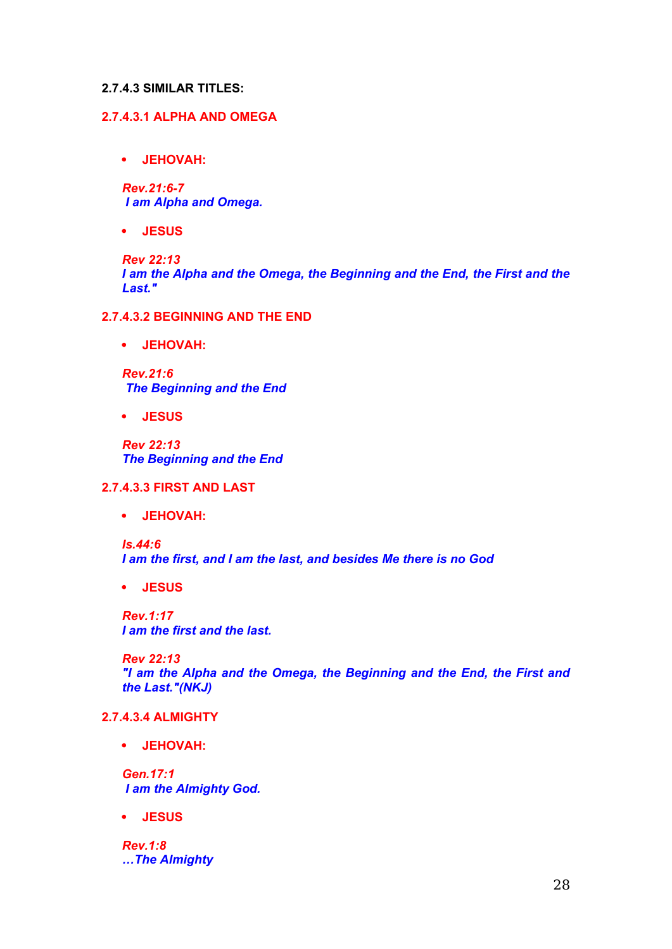# **2.7.4.3 SIMILAR TITLES:**

# **2.7.4.3.1 ALPHA AND OMEGA**

**JEHOVAH:**

*Rev.21:6-7 I am Alpha and Omega.*

**JESUS**

*Rev 22:13 I am the Alpha and the Omega, the Beginning and the End, the First and the Last."* 

**2.7.4.3.2 BEGINNING AND THE END**

**JEHOVAH:**

*Rev.21:6 The Beginning and the End*

**JESUS**

*Rev 22:13 The Beginning and the End* 

# **2.7.4.3.3 FIRST AND LAST**

**JEHOVAH:**

*Is.44:6 I am the first, and I am the last, and besides Me there is no God*

**JESUS**

*Rev.1:17 I am the first and the last.*

*Rev 22:13 "I am the Alpha and the Omega, the Beginning and the End, the First and the Last."(NKJ)* 

# **2.7.4.3.4 ALMIGHTY**

**JEHOVAH:**

*Gen.17:1 I am the Almighty God.* 

**JESUS**

*Rev.1:8 …The Almighty*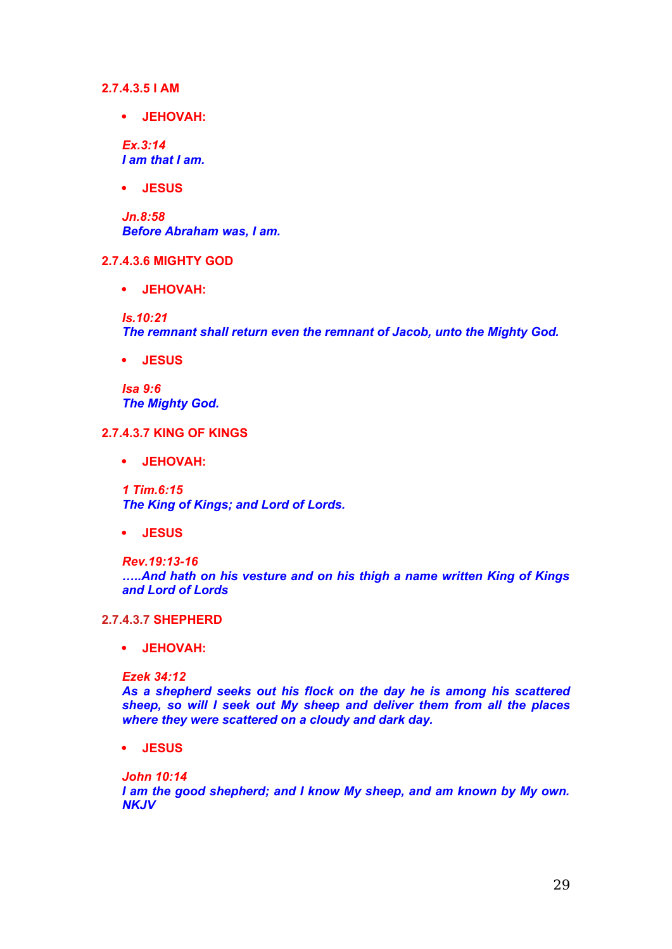# **2.7.4.3.5 I AM**

**JEHOVAH:**

*Ex.3:14 I am that I am.*

**JESUS**

*Jn.8:58 Before Abraham was, I am.*

# **2.7.4.3.6 MIGHTY GOD**

**JEHOVAH:**

*Is.10:21*

*The remnant shall return even the remnant of Jacob, unto the Mighty God.*

**JESUS**

*Isa 9:6 The Mighty God.*

**2.7.4.3.7 KING OF KINGS**

**JEHOVAH:**

*1 Tim.6:15 The King of Kings; and Lord of Lords.*

**JESUS**

*Rev.19:13-16 …..And hath on his vesture and on his thigh a name written King of Kings and Lord of Lords* 

# **2.7.4.3.7 SHEPHERD**

**JEHOVAH:**

*Ezek 34:12*

*As a shepherd seeks out his flock on the day he is among his scattered sheep, so will I seek out My sheep and deliver them from all the places where they were scattered on a cloudy and dark day.* 

**JESUS**

*John 10:14 I am the good shepherd; and I know My sheep, and am known by My own. NKJV*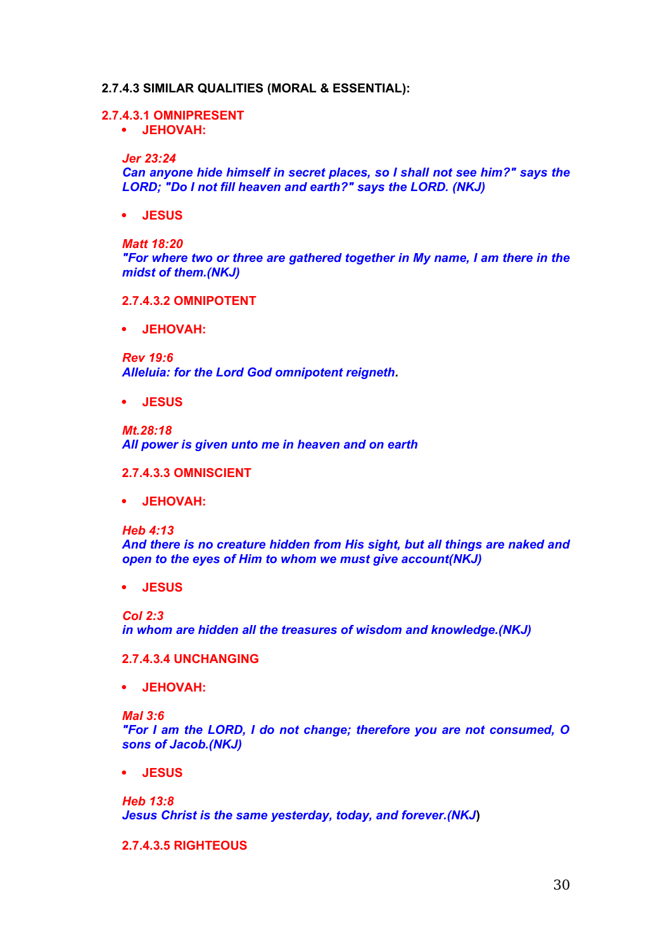# **2.7.4.3 SIMILAR QUALITIES (MORAL & ESSENTIAL):**

### **2.7.4.3.1 OMNIPRESENT**

### **JEHOVAH:**

### *Jer 23:24*

*Can anyone hide himself in secret places, so I shall not see him?" says the LORD; "Do I not fill heaven and earth?" says the LORD. (NKJ)*

## **JESUS**

### *Matt 18:20*

*"For where two or three are gathered together in My name, I am there in the midst of them.(NKJ)*

### **2.7.4.3.2 OMNIPOTENT**

**JEHOVAH:**

*Rev 19:6 Alleluia: for the Lord God omnipotent reigneth.*

**JESUS**

*Mt.28:18 All power is given unto me in heaven and on earth*

### **2.7.4.3.3 OMNISCIENT**

**JEHOVAH:**

*Heb 4:13*

*And there is no creature hidden from His sight, but all things are naked and open to the eyes of Him to whom we must give account(NKJ)*

**JESUS**

*Col 2:3 in whom are hidden all the treasures of wisdom and knowledge.(NKJ)*

# **2.7.4.3.4 UNCHANGING**

**JEHOVAH:**

*Mal 3:6*

*"For I am the LORD, I do not change; therefore you are not consumed, O sons of Jacob.(NKJ)*

**JESUS**

*Heb 13:8 Jesus Christ is the same yesterday, today, and forever.(NKJ***)**

# **2.7.4.3.5 RIGHTEOUS**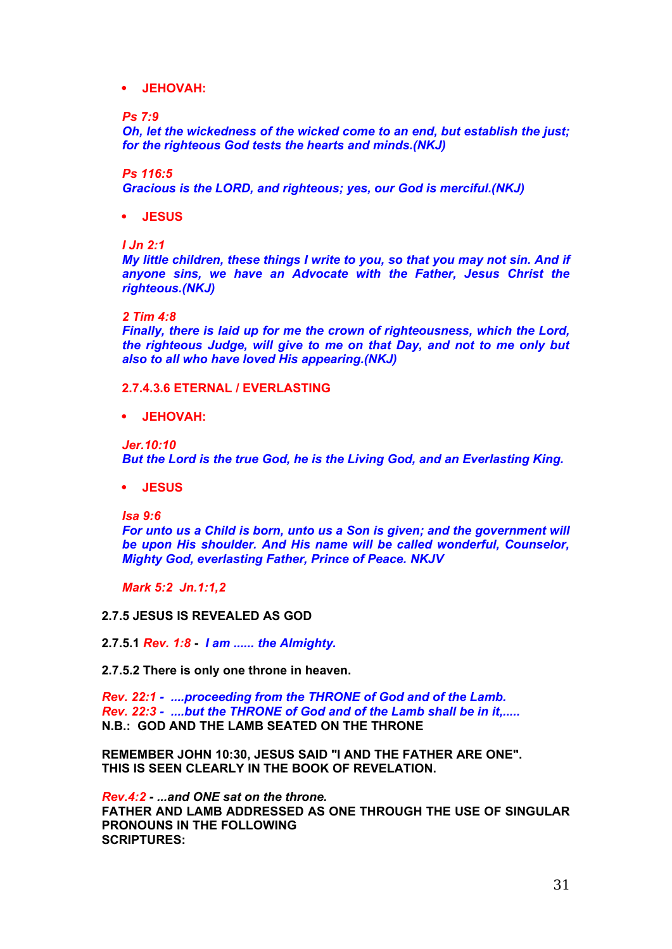# **JEHOVAH:**

# *Ps 7:9*

*Oh, let the wickedness of the wicked come to an end, but establish the just; for the righteous God tests the hearts and minds.(NKJ)*

## *Ps 116:5*

*Gracious is the LORD, and righteous; yes, our God is merciful.(NKJ)*

- **JESUS**
- *I Jn 2:1*

*My little children, these things I write to you, so that you may not sin. And if anyone sins, we have an Advocate with the Father, Jesus Christ the righteous.(NKJ)*

# *2 Tim 4:8*

*Finally, there is laid up for me the crown of righteousness, which the Lord, the righteous Judge, will give to me on that Day, and not to me only but also to all who have loved His appearing.(NKJ)*

# **2.7.4.3.6 ETERNAL / EVERLASTING**

**JEHOVAH:**

*Jer.10:10* 

*But the Lord is the true God, he is the Living God, and an Everlasting King.*

**JESUS**

*Isa 9:6*

*For unto us a Child is born, unto us a Son is given; and the government will be upon His shoulder. And His name will be called wonderful, Counselor, Mighty God, everlasting Father, Prince of Peace. NKJV*

*Mark 5:2 Jn.1:1,2*

**2.7.5 JESUS IS REVEALED AS GOD**

**2.7.5.1** *Rev. 1:8* **-** *I am ...... the Almighty.*

**2.7.5.2 There is only one throne in heaven.**

*Rev. 22:1 - ....proceeding from the THRONE of God and of the Lamb. Rev. 22:3 - ....but the THRONE of God and of the Lamb shall be in it,.....* **N.B.: GOD AND THE LAMB SEATED ON THE THRONE**

**REMEMBER JOHN 10:30, JESUS SAID "I AND THE FATHER ARE ONE". THIS IS SEEN CLEARLY IN THE BOOK OF REVELATION.**

*Rev.4:2 - ...and ONE sat on the throne.* **FATHER AND LAMB ADDRESSED AS ONE THROUGH THE USE OF SINGULAR PRONOUNS IN THE FOLLOWING SCRIPTURES:**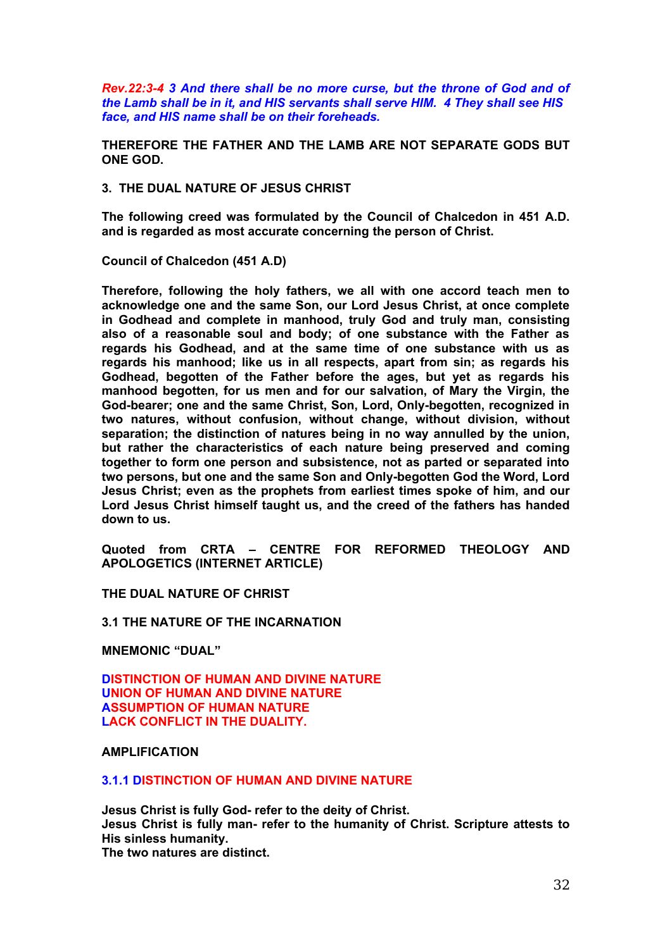*Rev.22:3-4 3 And there shall be no more curse, but the throne of God and of the Lamb shall be in it, and HIS servants shall serve HIM. 4 They shall see HIS face, and HIS name shall be on their foreheads.*

**THEREFORE THE FATHER AND THE LAMB ARE NOT SEPARATE GODS BUT ONE GOD.**

**3. THE DUAL NATURE OF JESUS CHRIST**

**The following creed was formulated by the Council of Chalcedon in 451 A.D. and is regarded as most accurate concerning the person of Christ.**

**Council of Chalcedon (451 A.D)**

**Therefore, following the holy fathers, we all with one accord teach men to acknowledge one and the same Son, our Lord Jesus Christ, at once complete in Godhead and complete in manhood, truly God and truly man, consisting also of a reasonable soul and body; of one substance with the Father as regards his Godhead, and at the same time of one substance with us as regards his manhood; like us in all respects, apart from sin; as regards his Godhead, begotten of the Father before the ages, but yet as regards his manhood begotten, for us men and for our salvation, of Mary the Virgin, the God-bearer; one and the same Christ, Son, Lord, Only-begotten, recognized in two natures, without confusion, without change, without division, without separation; the distinction of natures being in no way annulled by the union, but rather the characteristics of each nature being preserved and coming together to form one person and subsistence, not as parted or separated into two persons, but one and the same Son and Only-begotten God the Word, Lord Jesus Christ; even as the prophets from earliest times spoke of him, and our Lord Jesus Christ himself taught us, and the creed of the fathers has handed down to us.**

**Quoted from CRTA – CENTRE FOR REFORMED THEOLOGY AND APOLOGETICS (INTERNET ARTICLE)**

**THE DUAL NATURE OF CHRIST**

**3.1 THE NATURE OF THE INCARNATION**

**MNEMONIC "DUAL"**

**DISTINCTION OF HUMAN AND DIVINE NATURE UNION OF HUMAN AND DIVINE NATURE ASSUMPTION OF HUMAN NATURE LACK CONFLICT IN THE DUALITY.**

**AMPLIFICATION**

**3.1.1 DISTINCTION OF HUMAN AND DIVINE NATURE**

**Jesus Christ is fully God- refer to the deity of Christ. Jesus Christ is fully man- refer to the humanity of Christ. Scripture attests to His sinless humanity. The two natures are distinct.**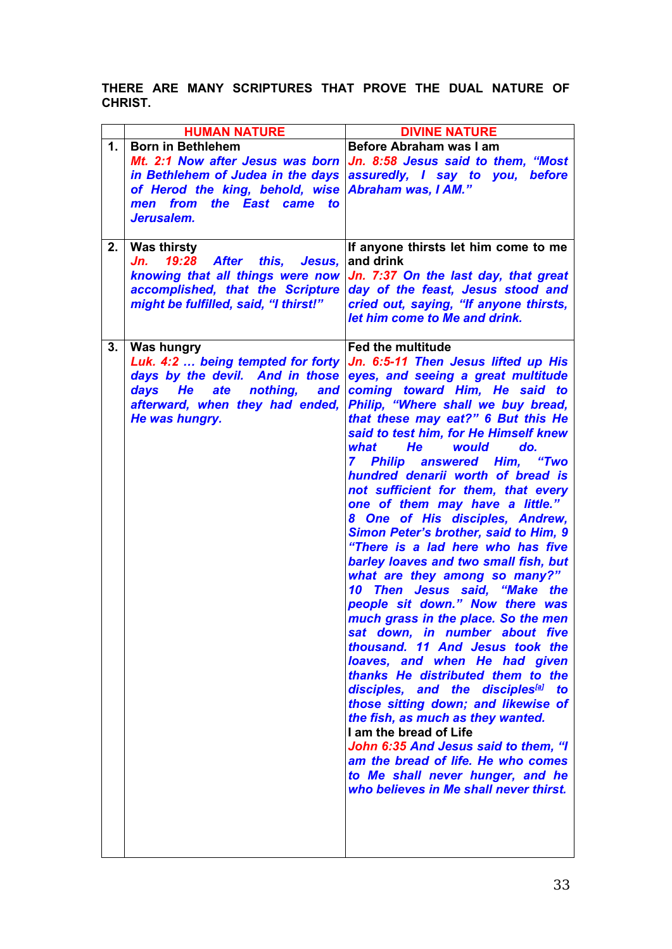# **THERE ARE MANY SCRIPTURES THAT PROVE THE DUAL NATURE OF CHRIST.**

|    | <b>HUMAN NATURE</b>                                                                    | <b>DIVINE NATURE</b>                                                                   |
|----|----------------------------------------------------------------------------------------|----------------------------------------------------------------------------------------|
| 1. | <b>Born in Bethlehem</b>                                                               | Before Abraham was I am                                                                |
|    | Mt. 2:1 Now after Jesus was born                                                       | Jn. 8:58 Jesus said to them, "Most                                                     |
|    | in Bethlehem of Judea in the days assuredly, I say to you,                             | <b>before</b>                                                                          |
|    | of Herod the king, behold, wise Abraham was, I AM."<br>from the East came<br>men<br>to |                                                                                        |
|    | Jerusalem.                                                                             |                                                                                        |
|    |                                                                                        |                                                                                        |
| 2. | <b>Was thirsty</b>                                                                     | If anyone thirsts let him come to me                                                   |
|    | <b>19:28 After</b><br>Jn.<br>this,<br>Jesus,                                           | and drink                                                                              |
|    | knowing that all things were now<br>accomplished, that the Scripture                   | Jn. 7:37 On the last day, that great<br>day of the feast, Jesus stood and              |
|    | might be fulfilled, said, "I thirst!"                                                  | cried out, saying, "If anyone thirsts,                                                 |
|    |                                                                                        | let him come to Me and drink.                                                          |
|    |                                                                                        |                                                                                        |
| 3. | Was hungry<br>Luk. 4:2  being tempted for forty                                        | <b>Fed the multitude</b><br>Jn. 6:5-11 Then Jesus lifted up His                        |
|    | days by the devil. And in those                                                        | eyes, and seeing a great multitude                                                     |
|    | days He<br>ate<br>nothing,<br>and                                                      | coming toward Him, He said to                                                          |
|    | afterward, when they had ended,                                                        | Philip, "Where shall we buy bread,                                                     |
|    | He was hungry.                                                                         | that these may eat?" 6 But this He                                                     |
|    |                                                                                        | said to test him, for He Himself knew<br>what<br>He<br>would<br>do.                    |
|    |                                                                                        | <b>Philip</b><br>answered<br>Him.<br>"Two<br>$\mathbf{z}$                              |
|    |                                                                                        | hundred denarii worth of bread is                                                      |
|    |                                                                                        | not sufficient for them, that every                                                    |
|    |                                                                                        | one of them may have a little."                                                        |
|    |                                                                                        | 8 One of His disciples, Andrew,<br>Simon Peter's brother, said to Him, 9               |
|    |                                                                                        | "There is a lad here who has five                                                      |
|    |                                                                                        | barley loaves and two small fish, but                                                  |
|    |                                                                                        | what are they among so many?"                                                          |
|    |                                                                                        | 10 Then Jesus said, "Make the<br>people sit down." Now there was                       |
|    |                                                                                        | much grass in the place. So the men                                                    |
|    |                                                                                        | sat down, in number about five                                                         |
|    |                                                                                        | thousand. 11 And Jesus took the                                                        |
|    |                                                                                        | loaves, and when He had given                                                          |
|    |                                                                                        | thanks He distributed them to the<br>disciples, and the disciples <sup>[a]</sup><br>to |
|    |                                                                                        | those sitting down; and likewise of                                                    |
|    |                                                                                        | the fish, as much as they wanted.                                                      |
|    |                                                                                        | I am the bread of Life                                                                 |
|    |                                                                                        | John 6:35 And Jesus said to them, "I                                                   |
|    |                                                                                        | am the bread of life. He who comes<br>to Me shall never hunger, and he                 |
|    |                                                                                        | who believes in Me shall never thirst.                                                 |
|    |                                                                                        |                                                                                        |
|    |                                                                                        |                                                                                        |
|    |                                                                                        |                                                                                        |
|    |                                                                                        |                                                                                        |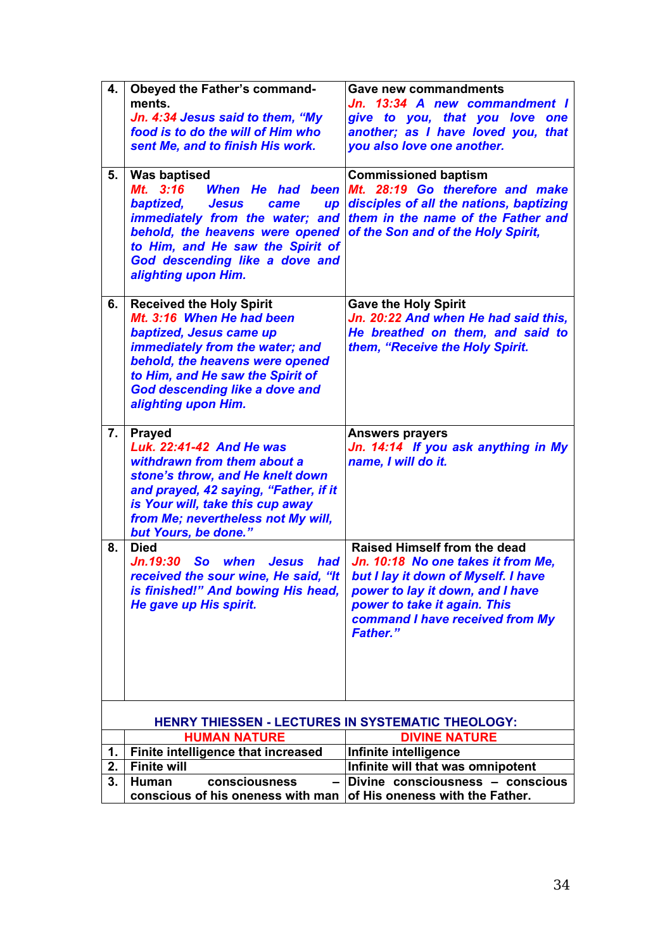| 4. | Obeyed the Father's command-<br>ments.                                 | <b>Gave new commandments</b><br>Jn. 13:34 A new commandment I |  |  |
|----|------------------------------------------------------------------------|---------------------------------------------------------------|--|--|
|    | Jn. 4:34 Jesus said to them, "My                                       | give to you, that you love one                                |  |  |
|    | food is to do the will of Him who                                      | another; as I have loved you, that                            |  |  |
|    | sent Me, and to finish His work.                                       | you also love one another.                                    |  |  |
|    |                                                                        |                                                               |  |  |
| 5. | <b>Was baptised</b>                                                    | <b>Commissioned baptism</b>                                   |  |  |
|    | Mt. 3:16<br>When He had been                                           | Mt. 28:19 Go therefore and make                               |  |  |
|    | baptized,<br><b>Jesus</b><br>came<br>up                                | disciples of all the nations, baptizing                       |  |  |
|    | immediately from the water; and                                        | them in the name of the Father and                            |  |  |
|    | behold, the heavens were opened                                        | of the Son and of the Holy Spirit,                            |  |  |
|    | to Him, and He saw the Spirit of                                       |                                                               |  |  |
|    | God descending like a dove and                                         |                                                               |  |  |
|    | alighting upon Him.                                                    |                                                               |  |  |
| 6. | <b>Received the Holy Spirit</b>                                        | <b>Gave the Holy Spirit</b>                                   |  |  |
|    | Mt. 3:16 When He had been                                              | Jn. 20:22 And when He had said this,                          |  |  |
|    | baptized, Jesus came up                                                | He breathed on them, and said to                              |  |  |
|    | immediately from the water; and                                        | them, "Receive the Holy Spirit.                               |  |  |
|    | behold, the heavens were opened                                        |                                                               |  |  |
|    | to Him, and He saw the Spirit of                                       |                                                               |  |  |
|    | God descending like a dove and<br>alighting upon Him.                  |                                                               |  |  |
|    |                                                                        |                                                               |  |  |
| 7. | <b>Prayed</b>                                                          | <b>Answers prayers</b>                                        |  |  |
|    | Luk. 22:41-42 And He was                                               | Jn. 14:14 If you ask anything in My                           |  |  |
|    | withdrawn from them about a                                            | name, I will do it.                                           |  |  |
|    | stone's throw, and He knelt down                                       |                                                               |  |  |
|    | and prayed, 42 saying, "Father, if it                                  |                                                               |  |  |
|    | is Your will, take this cup away<br>from Me; nevertheless not My will, |                                                               |  |  |
|    | but Yours, be done."                                                   |                                                               |  |  |
| 8. | <b>Died</b>                                                            | <b>Raised Himself from the dead</b>                           |  |  |
|    | Jn.19:30<br><b>So</b><br>when<br><b>Jesus</b><br>had                   | Jn. 10:18 No one takes it from Me,                            |  |  |
|    | received the sour wine, He said, "It                                   | but I lay it down of Myself. I have                           |  |  |
|    | is finished!" And bowing His head,                                     | power to lay it down, and I have                              |  |  |
|    | He gave up His spirit.                                                 | power to take it again. This                                  |  |  |
|    |                                                                        | command I have received from My                               |  |  |
|    |                                                                        | <b>Father."</b>                                               |  |  |
|    |                                                                        |                                                               |  |  |
|    |                                                                        |                                                               |  |  |
|    |                                                                        |                                                               |  |  |
|    | <b>HENRY THIESSEN - LECTURES IN SYSTEMATIC THEOLOGY:</b>               |                                                               |  |  |
|    | <b>HUMAN NATURE</b>                                                    | <b>DIVINE NATURE</b>                                          |  |  |
| 1. | Finite intelligence that increased                                     | Infinite intelligence                                         |  |  |
| 2. | <b>Finite will</b>                                                     | Infinite will that was omnipotent                             |  |  |
| 3. | <b>Human</b><br>consciousness                                          | Divine consciousness - conscious                              |  |  |
|    | conscious of his oneness with man of His oneness with the Father.      |                                                               |  |  |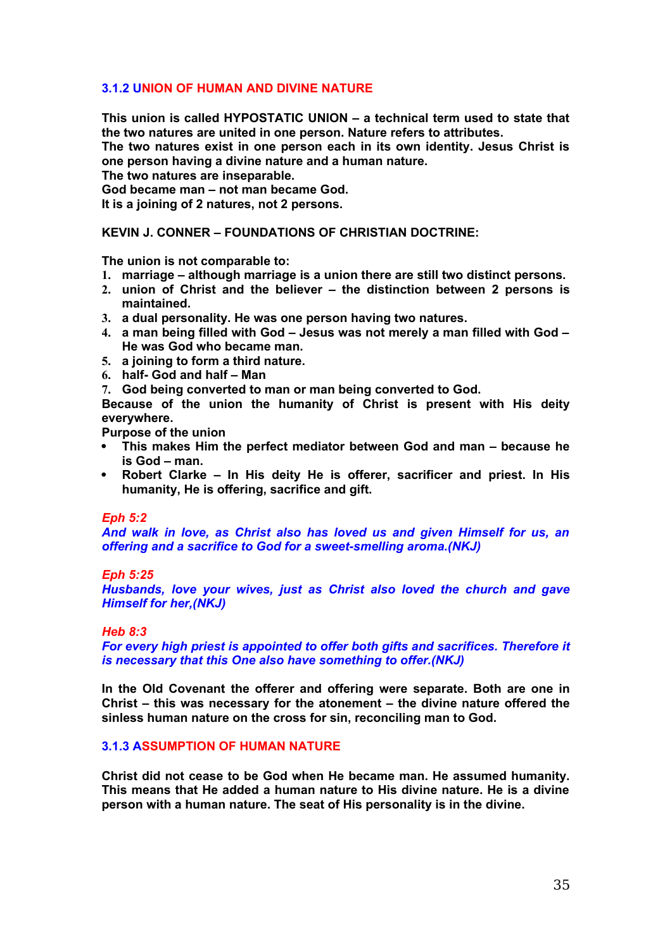# **3.1.2 UNION OF HUMAN AND DIVINE NATURE**

**This union is called HYPOSTATIC UNION – a technical term used to state that the two natures are united in one person. Nature refers to attributes.**

**The two natures exist in one person each in its own identity. Jesus Christ is one person having a divine nature and a human nature.**

**The two natures are inseparable.**

**God became man – not man became God.**

**It is a joining of 2 natures, not 2 persons.**

# **KEVIN J. CONNER – FOUNDATIONS OF CHRISTIAN DOCTRINE:**

**The union is not comparable to:**

- **1. marriage although marriage is a union there are still two distinct persons.**
- **2. union of Christ and the believer the distinction between 2 persons is maintained.**
- **3. a dual personality. He was one person having two natures.**
- **4. a man being filled with God Jesus was not merely a man filled with God – He was God who became man.**
- **5. a joining to form a third nature.**
- **6. half- God and half Man**
- **7. God being converted to man or man being converted to God.**

**Because of the union the humanity of Christ is present with His deity everywhere.**

**Purpose of the union**

- **This makes Him the perfect mediator between God and man because he is God – man.**
- **Robert Clarke In His deity He is offerer, sacrificer and priest. In His humanity, He is offering, sacrifice and gift.**

## *Eph 5:2*

*And walk in love, as Christ also has loved us and given Himself for us, an offering and a sacrifice to God for a sweet-smelling aroma.(NKJ)*

*Eph 5:25*

*Husbands, love your wives, just as Christ also loved the church and gave Himself for her,(NKJ)*

### *Heb 8:3*

*For every high priest is appointed to offer both gifts and sacrifices. Therefore it is necessary that this One also have something to offer.(NKJ)*

**In the Old Covenant the offerer and offering were separate. Both are one in Christ – this was necessary for the atonement – the divine nature offered the sinless human nature on the cross for sin, reconciling man to God.**

# **3.1.3 ASSUMPTION OF HUMAN NATURE**

**Christ did not cease to be God when He became man. He assumed humanity. This means that He added a human nature to His divine nature. He is a divine person with a human nature. The seat of His personality is in the divine.**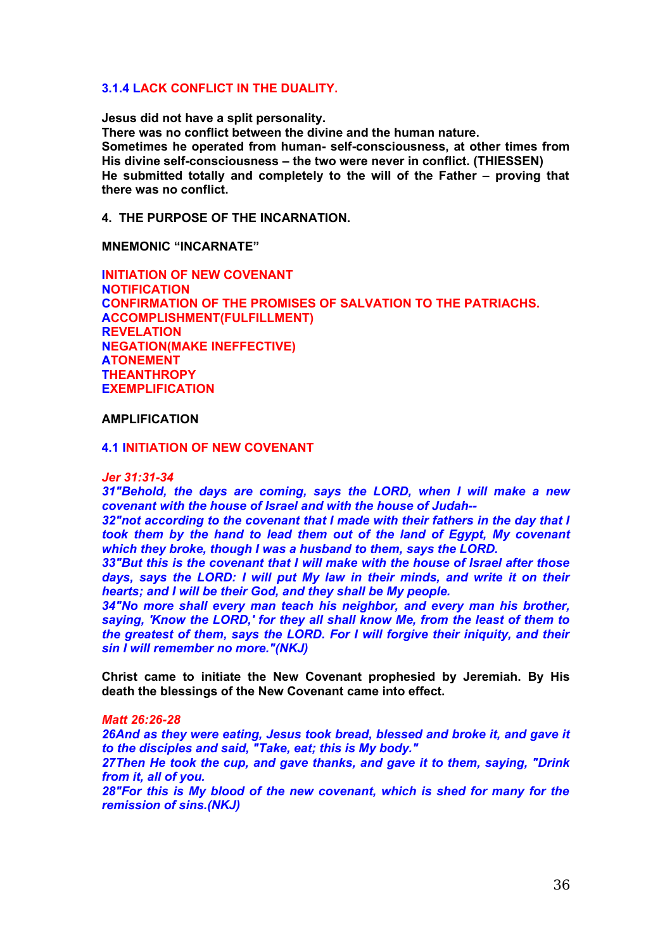# **3.1.4 LACK CONFLICT IN THE DUALITY.**

**Jesus did not have a split personality.**

**There was no conflict between the divine and the human nature. Sometimes he operated from human- self-consciousness, at other times from His divine self-consciousness – the two were never in conflict. (THIESSEN) He submitted totally and completely to the will of the Father – proving that there was no conflict.**

**4. THE PURPOSE OF THE INCARNATION.**

### **MNEMONIC "INCARNATE"**

**INITIATION OF NEW COVENANT NOTIFICATION CONFIRMATION OF THE PROMISES OF SALVATION TO THE PATRIACHS. ACCOMPLISHMENT(FULFILLMENT) REVELATION NEGATION(MAKE INEFFECTIVE) ATONEMENT THEANTHROPY EXEMPLIFICATION**

# **AMPLIFICATION**

# **4.1 INITIATION OF NEW COVENANT**

#### *Jer 31:31-34*

*31"Behold, the days are coming, says the LORD, when I will make a new covenant with the house of Israel and with the house of Judah--*

*32"not according to the covenant that I made with their fathers in the day that I took them by the hand to lead them out of the land of Egypt, My covenant which they broke, though I was a husband to them, says the LORD.*

*33"But this is the covenant that I will make with the house of Israel after those days, says the LORD: I will put My law in their minds, and write it on their hearts; and I will be their God, and they shall be My people.*

*34"No more shall every man teach his neighbor, and every man his brother, saying, 'Know the LORD,' for they all shall know Me, from the least of them to the greatest of them, says the LORD. For I will forgive their iniquity, and their sin I will remember no more."(NKJ)*

**Christ came to initiate the New Covenant prophesied by Jeremiah. By His death the blessings of the New Covenant came into effect.**

### *Matt 26:26-28*

*26And as they were eating, Jesus took bread, blessed and broke it, and gave it to the disciples and said, "Take, eat; this is My body."*

*27Then He took the cup, and gave thanks, and gave it to them, saying, "Drink from it, all of you.*

*28"For this is My blood of the new covenant, which is shed for many for the remission of sins.(NKJ)*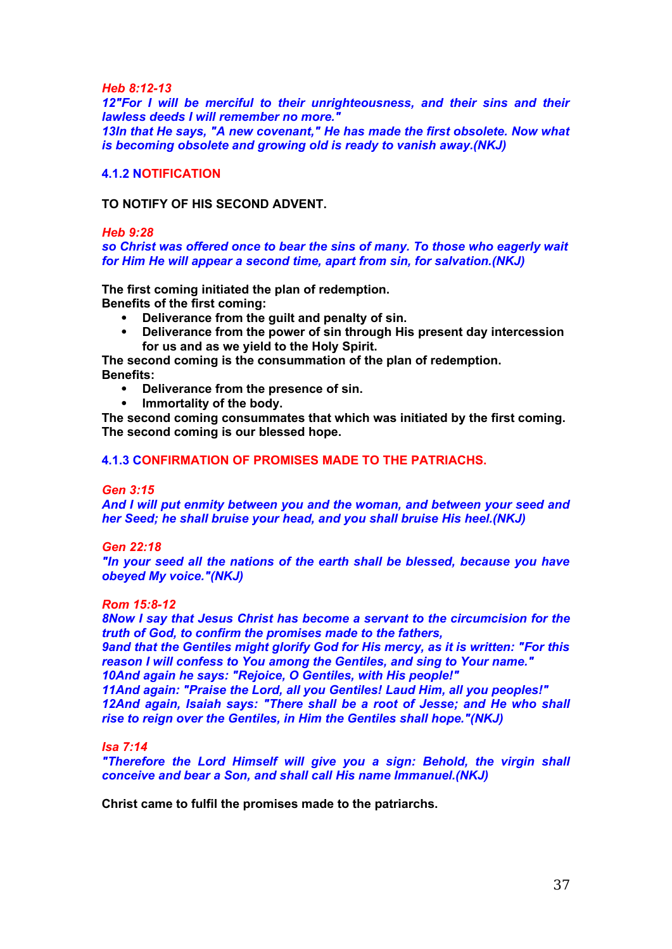*Heb 8:12-13*

*12"For I will be merciful to their unrighteousness, and their sins and their lawless deeds I will remember no more." 13In that He says, "A new covenant," He has made the first obsolete. Now what is becoming obsolete and growing old is ready to vanish away.(NKJ)*

### **4.1.2 NOTIFICATION**

**TO NOTIFY OF HIS SECOND ADVENT.**

#### *Heb 9:28*

*so Christ was offered once to bear the sins of many. To those who eagerly wait for Him He will appear a second time, apart from sin, for salvation.(NKJ)*

**The first coming initiated the plan of redemption. Benefits of the first coming:**

- **Deliverance from the guilt and penalty of sin.**
- **Deliverance from the power of sin through His present day intercession for us and as we yield to the Holy Spirit.**

**The second coming is the consummation of the plan of redemption. Benefits:**

- **Deliverance from the presence of sin.**
- **Immortality of the body.**

**The second coming consummates that which was initiated by the first coming. The second coming is our blessed hope.**

## **4.1.3 CONFIRMATION OF PROMISES MADE TO THE PATRIACHS.**

#### *Gen 3:15*

*And I will put enmity between you and the woman, and between your seed and her Seed; he shall bruise your head, and you shall bruise His heel.(NKJ)*

*Gen 22:18*

*"In your seed all the nations of the earth shall be blessed, because you have obeyed My voice."(NKJ)*

*Rom 15:8-12*

*8Now I say that Jesus Christ has become a servant to the circumcision for the truth of God, to confirm the promises made to the fathers,*

*9and that the Gentiles might glorify God for His mercy, as it is written: "For this reason I will confess to You among the Gentiles, and sing to Your name." 10And again he says: "Rejoice, O Gentiles, with His people!"*

*11And again: "Praise the Lord, all you Gentiles! Laud Him, all you peoples!" 12And again, Isaiah says: "There shall be a root of Jesse; and He who shall rise to reign over the Gentiles, in Him the Gentiles shall hope."(NKJ)*

*Isa 7:14*

*"Therefore the Lord Himself will give you a sign: Behold, the virgin shall conceive and bear a Son, and shall call His name Immanuel.(NKJ)*

**Christ came to fulfil the promises made to the patriarchs.**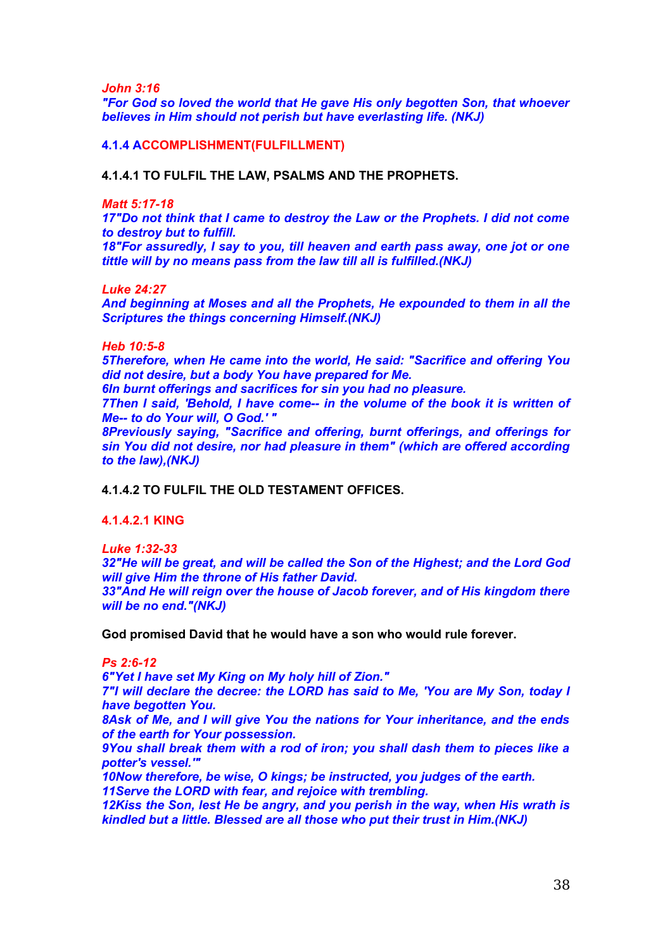*John 3:16*

*"For God so loved the world that He gave His only begotten Son, that whoever believes in Him should not perish but have everlasting life. (NKJ)*

**4.1.4 ACCOMPLISHMENT(FULFILLMENT)**

**4.1.4.1 TO FULFIL THE LAW, PSALMS AND THE PROPHETS.**

### *Matt 5:17-18*

*17"Do not think that I came to destroy the Law or the Prophets. I did not come to destroy but to fulfill.*

*18"For assuredly, I say to you, till heaven and earth pass away, one jot or one tittle will by no means pass from the law till all is fulfilled.(NKJ)*

*Luke 24:27*

*And beginning at Moses and all the Prophets, He expounded to them in all the Scriptures the things concerning Himself.(NKJ)*

#### *Heb 10:5-8*

*5Therefore, when He came into the world, He said: "Sacrifice and offering You did not desire, but a body You have prepared for Me.*

*6In burnt offerings and sacrifices for sin you had no pleasure.*

*7Then I said, 'Behold, I have come-- in the volume of the book it is written of Me-- to do Your will, O God.' "*

*8Previously saying, "Sacrifice and offering, burnt offerings, and offerings for sin You did not desire, nor had pleasure in them" (which are offered according to the law),(NKJ)*

**4.1.4.2 TO FULFIL THE OLD TESTAMENT OFFICES.**

**4.1.4.2.1 KING** 

*Luke 1:32-33*

*32"He will be great, and will be called the Son of the Highest; and the Lord God will give Him the throne of His father David.*

*33"And He will reign over the house of Jacob forever, and of His kingdom there will be no end."(NKJ)*

**God promised David that he would have a son who would rule forever.**

### *Ps 2:6-12*

*6"Yet I have set My King on My holy hill of Zion."*

*7"I will declare the decree: the LORD has said to Me, 'You are My Son, today I have begotten You.*

*8Ask of Me, and I will give You the nations for Your inheritance, and the ends of the earth for Your possession.*

*9You shall break them with a rod of iron; you shall dash them to pieces like a potter's vessel.'"*

*10Now therefore, be wise, O kings; be instructed, you judges of the earth. 11Serve the LORD with fear, and rejoice with trembling.*

*12Kiss the Son, lest He be angry, and you perish in the way, when His wrath is kindled but a little. Blessed are all those who put their trust in Him.(NKJ)*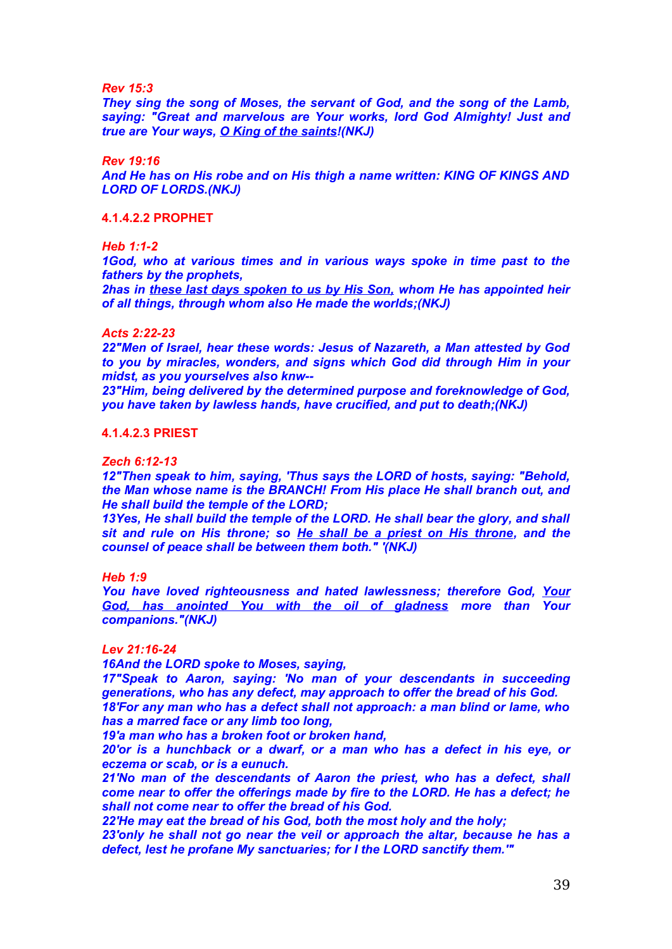*Rev 15:3*

*They sing the song of Moses, the servant of God, and the song of the Lamb, saying: "Great and marvelous are Your works, lord God Almighty! Just and true are Your ways, O King of the saints!(NKJ)*

*Rev 19:16*

*And He has on His robe and on His thigh a name written: KING OF KINGS AND LORD OF LORDS.(NKJ)*

### **4.1.4.2.2 PROPHET**

#### *Heb 1:1-2*

*1God, who at various times and in various ways spoke in time past to the fathers by the prophets,*

*2has in these last days spoken to us by His Son, whom He has appointed heir of all things, through whom also He made the worlds;(NKJ)*

### *Acts 2:22-23*

*22"Men of Israel, hear these words: Jesus of Nazareth, a Man attested by God to you by miracles, wonders, and signs which God did through Him in your midst, as you yourselves also knw--*

*23"Him, being delivered by the determined purpose and foreknowledge of God, you have taken by lawless hands, have crucified, and put to death;(NKJ)*

### **4.1.4.2.3 PRIEST**

### *Zech 6:12-13*

*12"Then speak to him, saying, 'Thus says the LORD of hosts, saying: "Behold, the Man whose name is the BRANCH! From His place He shall branch out, and He shall build the temple of the LORD;*

*13Yes, He shall build the temple of the LORD. He shall bear the glory, and shall sit and rule on His throne; so He shall be a priest on His throne, and the counsel of peace shall be between them both." '(NKJ)*

*Heb 1:9*

*You have loved righteousness and hated lawlessness; therefore God, Your God, has anointed You with the oil of gladness more than Your companions."(NKJ)*

### *Lev 21:16-24*

*16And the LORD spoke to Moses, saying,*

*17"Speak to Aaron, saying: 'No man of your descendants in succeeding generations, who has any defect, may approach to offer the bread of his God. 18'For any man who has a defect shall not approach: a man blind or lame, who has a marred face or any limb too long,*

*19'a man who has a broken foot or broken hand,*

*20'or is a hunchback or a dwarf, or a man who has a defect in his eye, or eczema or scab, or is a eunuch.*

*21'No man of the descendants of Aaron the priest, who has a defect, shall come near to offer the offerings made by fire to the LORD. He has a defect; he shall not come near to offer the bread of his God.*

*22'He may eat the bread of his God, both the most holy and the holy;*

*23'only he shall not go near the veil or approach the altar, because he has a defect, lest he profane My sanctuaries; for I the LORD sanctify them.'"*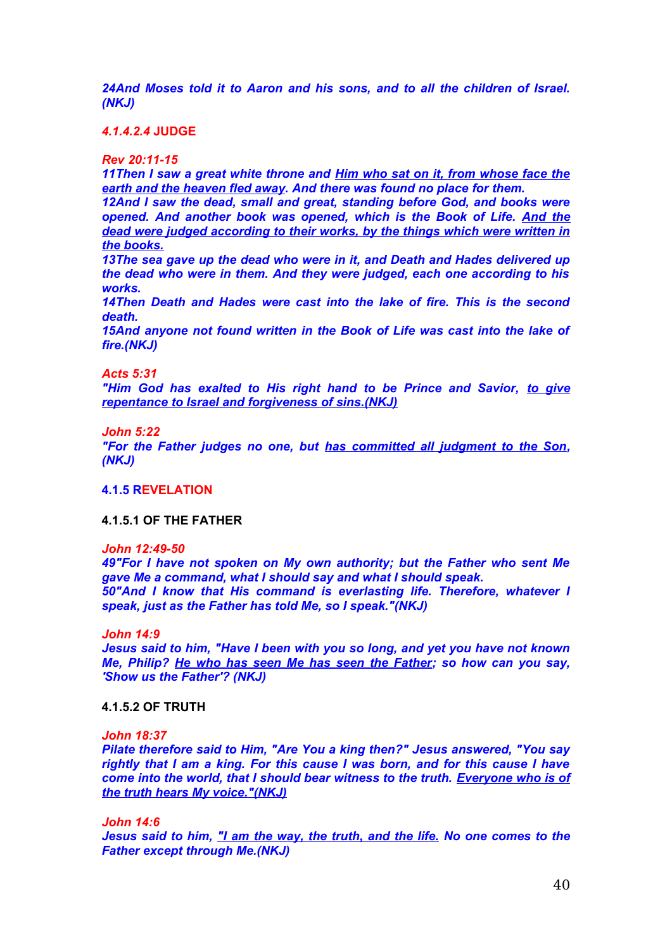*24And Moses told it to Aaron and his sons, and to all the children of Israel. (NKJ)*

# *4.1.4.2.4* **JUDGE**

*Rev 20:11-15*

*11Then I saw a great white throne and Him who sat on it, from whose face the earth and the heaven fled away. And there was found no place for them.*

*12And I saw the dead, small and great, standing before God, and books were opened. And another book was opened, which is the Book of Life. And the dead were judged according to their works, by the things which were written in the books.*

*13The sea gave up the dead who were in it, and Death and Hades delivered up the dead who were in them. And they were judged, each one according to his works.*

*14Then Death and Hades were cast into the lake of fire. This is the second death.*

*15And anyone not found written in the Book of Life was cast into the lake of fire.(NKJ)*

*Acts 5:31*

*"Him God has exalted to His right hand to be Prince and Savior, to give repentance to Israel and forgiveness of sins.(NKJ)*

*John 5:22 "For the Father judges no one, but has committed all judgment to the Son, (NKJ)*

# **4.1.5 REVELATION**

# **4.1.5.1 OF THE FATHER**

#### *John 12:49-50*

*49"For I have not spoken on My own authority; but the Father who sent Me gave Me a command, what I should say and what I should speak. 50"And I know that His command is everlasting life. Therefore, whatever I speak, just as the Father has told Me, so I speak."(NKJ)*

### *John 14:9*

*Jesus said to him, "Have I been with you so long, and yet you have not known Me, Philip? He who has seen Me has seen the Father; so how can you say, 'Show us the Father'? (NKJ)*

### **4.1.5.2 OF TRUTH**

### *John 18:37*

*Pilate therefore said to Him, "Are You a king then?" Jesus answered, "You say rightly that I am a king. For this cause I was born, and for this cause I have come into the world, that I should bear witness to the truth. Everyone who is of the truth hears My voice."(NKJ)*

*John 14:6*

*Jesus said to him, "I am the way, the truth, and the life. No one comes to the Father except through Me.(NKJ)*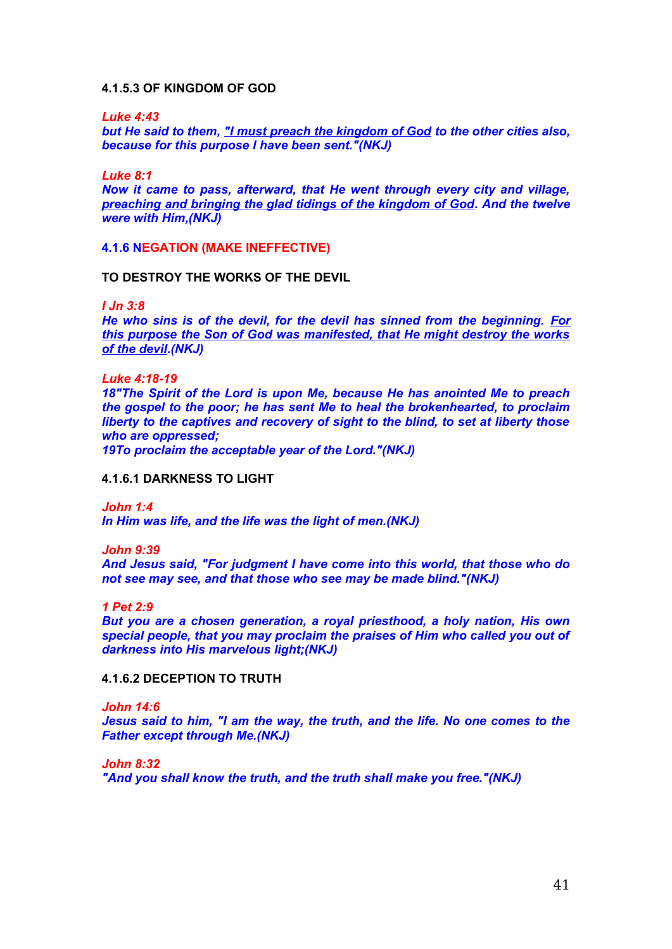# **4.1.5.3 OF KINGDOM OF GOD**

### *Luke 4:43*

*but He said to them, "I must preach the kingdom of God to the other cities also, because for this purpose I have been sent."(NKJ)*

*Luke 8:1*

*Now it came to pass, afterward, that He went through every city and village, preaching and bringing the glad tidings of the kingdom of God. And the twelve were with Him,(NKJ)*

**4.1.6 NEGATION (MAKE INEFFECTIVE)**

**TO DESTROY THE WORKS OF THE DEVIL** 

*I Jn 3:8*

*He who sins is of the devil, for the devil has sinned from the beginning. For this purpose the Son of God was manifested, that He might destroy the works of the devil.(NKJ)*

# *Luke 4:18-19*

*18"The Spirit of the Lord is upon Me, because He has anointed Me to preach the gospel to the poor; he has sent Me to heal the brokenhearted, to proclaim liberty to the captives and recovery of sight to the blind, to set at liberty those who are oppressed;*

*19To proclaim the acceptable year of the Lord."(NKJ)*

# **4.1.6.1 DARKNESS TO LIGHT**

*John 1:4 In Him was life, and the life was the light of men.(NKJ)*

*John 9:39 And Jesus said, "For judgment I have come into this world, that those who do not see may see, and that those who see may be made blind."(NKJ)*

*1 Pet 2:9*

*But you are a chosen generation, a royal priesthood, a holy nation, His own special people, that you may proclaim the praises of Him who called you out of darkness into His marvelous light;(NKJ)*

**4.1.6.2 DECEPTION TO TRUTH**

*John 14:6 Jesus said to him, "I am the way, the truth, and the life. No one comes to the Father except through Me.(NKJ)*

*John 8:32 "And you shall know the truth, and the truth shall make you free."(NKJ)*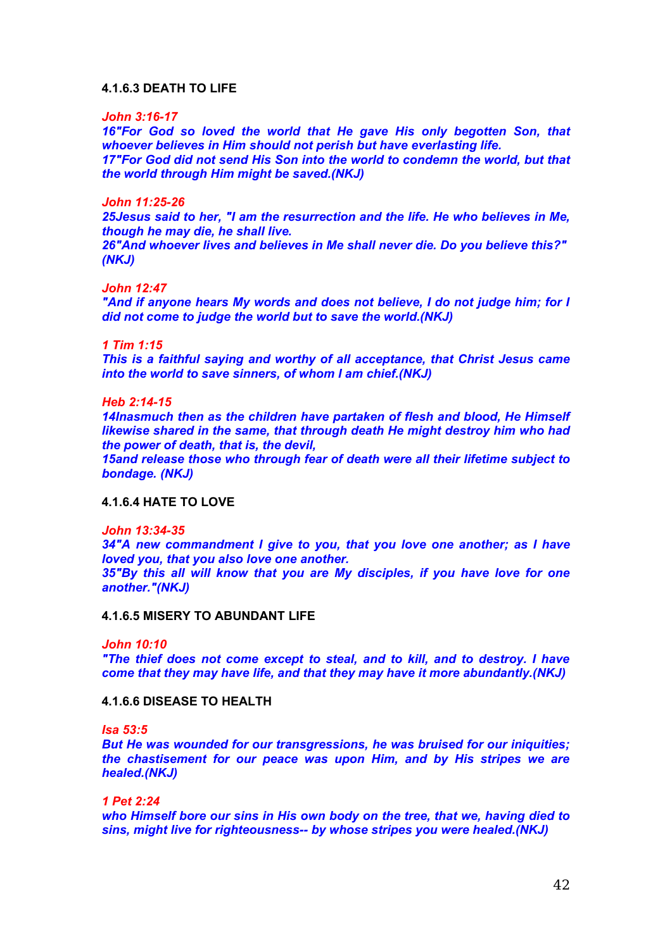### **4.1.6.3 DEATH TO LIFE**

#### *John 3:16-17*

*16"For God so loved the world that He gave His only begotten Son, that whoever believes in Him should not perish but have everlasting life. 17"For God did not send His Son into the world to condemn the world, but that the world through Him might be saved.(NKJ)*

### *John 11:25-26*

*25Jesus said to her, "I am the resurrection and the life. He who believes in Me, though he may die, he shall live.*

*26"And whoever lives and believes in Me shall never die. Do you believe this?" (NKJ)*

# *John 12:47*

*"And if anyone hears My words and does not believe, I do not judge him; for I did not come to judge the world but to save the world.(NKJ)*

#### *1 Tim 1:15*

*This is a faithful saying and worthy of all acceptance, that Christ Jesus came into the world to save sinners, of whom I am chief.(NKJ)*

#### *Heb 2:14-15*

*14Inasmuch then as the children have partaken of flesh and blood, He Himself likewise shared in the same, that through death He might destroy him who had the power of death, that is, the devil,*

*15and release those who through fear of death were all their lifetime subject to bondage. (NKJ)*

# **4.1.6.4 HATE TO LOVE**

### *John 13:34-35*

*34"A new commandment I give to you, that you love one another; as I have loved you, that you also love one another.*

*35"By this all will know that you are My disciples, if you have love for one another."(NKJ)*

### **4.1.6.5 MISERY TO ABUNDANT LIFE**

# *John 10:10*

*"The thief does not come except to steal, and to kill, and to destroy. I have come that they may have life, and that they may have it more abundantly.(NKJ)*

# **4.1.6.6 DISEASE TO HEALTH**

#### *Isa 53:5*

*But He was wounded for our transgressions, he was bruised for our iniquities; the chastisement for our peace was upon Him, and by His stripes we are healed.(NKJ)*

### *1 Pet 2:24*

*who Himself bore our sins in His own body on the tree, that we, having died to sins, might live for righteousness-- by whose stripes you were healed.(NKJ)*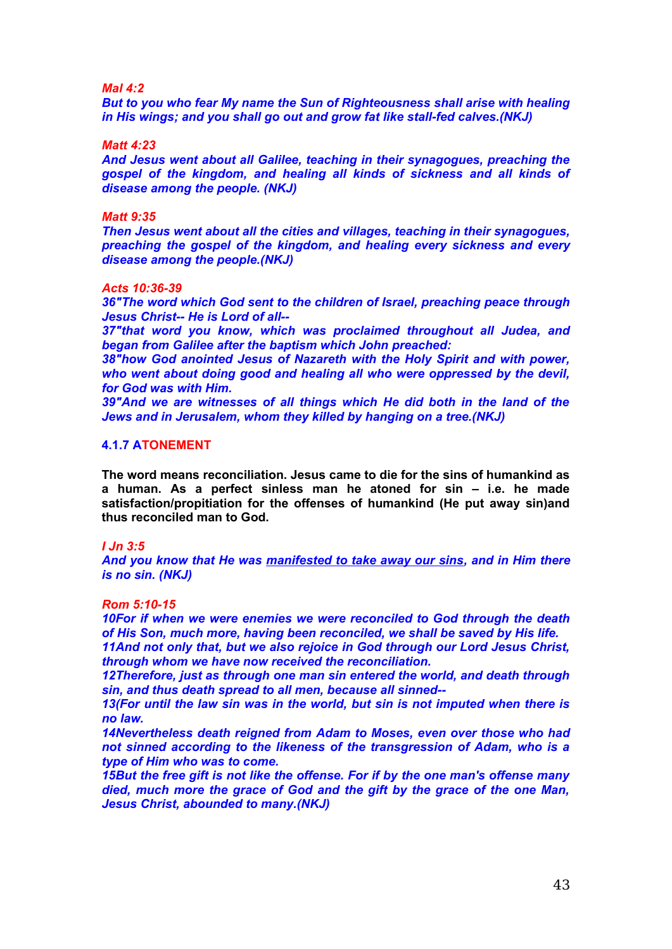#### *Mal 4:2*

*But to you who fear My name the Sun of Righteousness shall arise with healing in His wings; and you shall go out and grow fat like stall-fed calves.(NKJ)*

### *Matt 4:23*

*And Jesus went about all Galilee, teaching in their synagogues, preaching the gospel of the kingdom, and healing all kinds of sickness and all kinds of disease among the people. (NKJ)*

# *Matt 9:35*

*Then Jesus went about all the cities and villages, teaching in their synagogues, preaching the gospel of the kingdom, and healing every sickness and every disease among the people.(NKJ)*

### *Acts 10:36-39*

*36"The word which God sent to the children of Israel, preaching peace through Jesus Christ-- He is Lord of all--*

*37"that word you know, which was proclaimed throughout all Judea, and began from Galilee after the baptism which John preached:*

*38"how God anointed Jesus of Nazareth with the Holy Spirit and with power, who went about doing good and healing all who were oppressed by the devil, for God was with Him.*

*39"And we are witnesses of all things which He did both in the land of the Jews and in Jerusalem, whom they killed by hanging on a tree.(NKJ)*

# **4.1.7 ATONEMENT**

**The word means reconciliation. Jesus came to die for the sins of humankind as a human. As a perfect sinless man he atoned for sin – i.e. he made satisfaction/propitiation for the offenses of humankind (He put away sin)and thus reconciled man to God.**

#### *I Jn 3:5*

*And you know that He was manifested to take away our sins, and in Him there is no sin. (NKJ)*

*Rom 5:10-15*

*10For if when we were enemies we were reconciled to God through the death of His Son, much more, having been reconciled, we shall be saved by His life.*

*11And not only that, but we also rejoice in God through our Lord Jesus Christ, through whom we have now received the reconciliation.*

*12Therefore, just as through one man sin entered the world, and death through sin, and thus death spread to all men, because all sinned--*

*13(For until the law sin was in the world, but sin is not imputed when there is no law.*

*14Nevertheless death reigned from Adam to Moses, even over those who had not sinned according to the likeness of the transgression of Adam, who is a type of Him who was to come.*

*15But the free gift is not like the offense. For if by the one man's offense many died, much more the grace of God and the gift by the grace of the one Man, Jesus Christ, abounded to many.(NKJ)*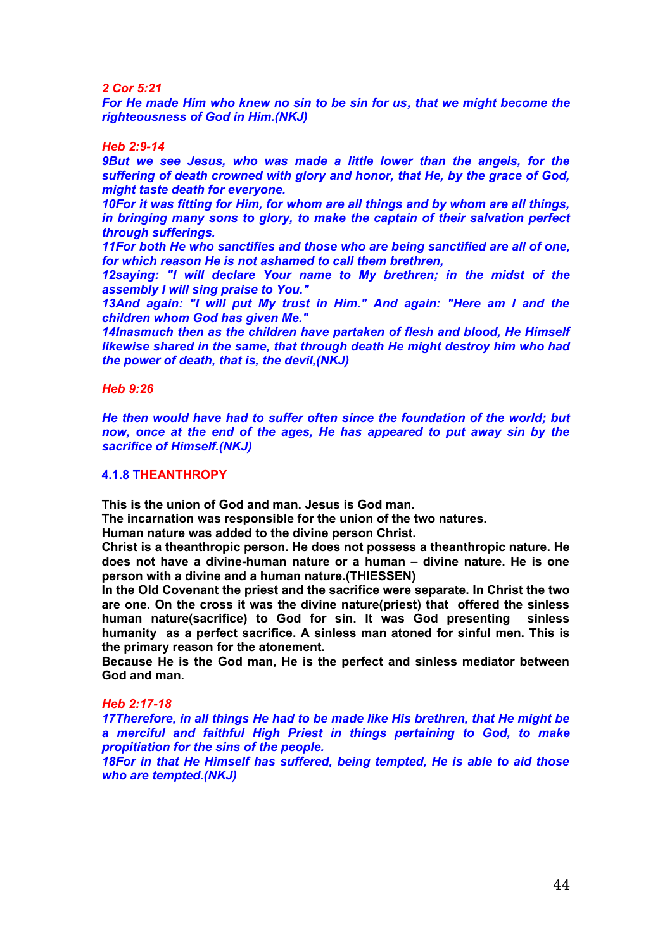#### *2 Cor 5:21*

*For He made Him who knew no sin to be sin for us, that we might become the righteousness of God in Him.(NKJ)*

### *Heb 2:9-14*

*9But we see Jesus, who was made a little lower than the angels, for the suffering of death crowned with glory and honor, that He, by the grace of God, might taste death for everyone.*

*10For it was fitting for Him, for whom are all things and by whom are all things, in bringing many sons to glory, to make the captain of their salvation perfect through sufferings.*

*11For both He who sanctifies and those who are being sanctified are all of one, for which reason He is not ashamed to call them brethren,*

*12saying: "I will declare Your name to My brethren; in the midst of the assembly I will sing praise to You."*

*13And again: "I will put My trust in Him." And again: "Here am I and the children whom God has given Me."*

*14Inasmuch then as the children have partaken of flesh and blood, He Himself likewise shared in the same, that through death He might destroy him who had the power of death, that is, the devil,(NKJ)*

# *Heb 9:26*

*He then would have had to suffer often since the foundation of the world; but now, once at the end of the ages, He has appeared to put away sin by the sacrifice of Himself.(NKJ)*

# **4.1.8 THEANTHROPY**

**This is the union of God and man. Jesus is God man.**

**The incarnation was responsible for the union of the two natures.**

**Human nature was added to the divine person Christ.**

**Christ is a theanthropic person. He does not possess a theanthropic nature. He does not have a divine-human nature or a human – divine nature. He is one person with a divine and a human nature.(THIESSEN)**

**In the Old Covenant the priest and the sacrifice were separate. In Christ the two are one. On the cross it was the divine nature(priest) that offered the sinless human nature(sacrifice) to God for sin. It was God presenting sinless humanity as a perfect sacrifice. A sinless man atoned for sinful men. This is the primary reason for the atonement.**

**Because He is the God man, He is the perfect and sinless mediator between God and man.** 

#### *Heb 2:17-18*

*17Therefore, in all things He had to be made like His brethren, that He might be a merciful and faithful High Priest in things pertaining to God, to make propitiation for the sins of the people.*

*18For in that He Himself has suffered, being tempted, He is able to aid those who are tempted.(NKJ)*